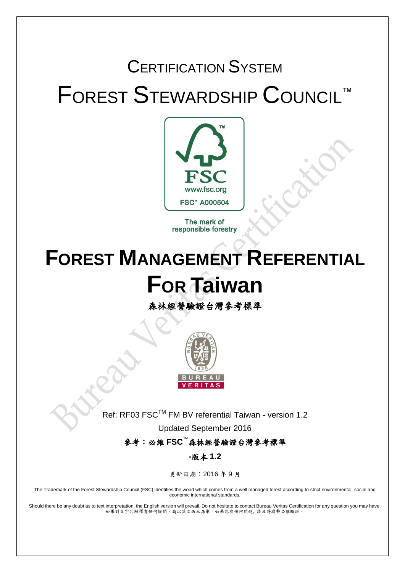# CERTIFICATION SYSTEM FOREST STEWARDSHIP COUNCIL™



The mark of responsible forestry

# **FOREST MANAGEMENT REFERENTIAL FOR Taiwan**

森林經營驗證台灣參考標準



Ref: RF03 FSC™ FM BV referential Taiwan - version 1.2

Updated September 2016

參考:必維 **FSC**™森林經營驗證台灣參考標準

**-**版本 **1.2**

更新日期:2016 年 9 月

The Trademark of the Forest Stewardship Council (FSC) identifies the wood which comes from a well managed forest according to strict environmental, social and economic international standards.

Should there be any doubt as to text interpretation, the English version will prevail. Do not hesitate to contact Bureau Veritas Certification for any question you may have. 如果對文字的解釋有任何疑問,請以英文版本為準。如果您有任何問題, 請及時聯繫必維驗證。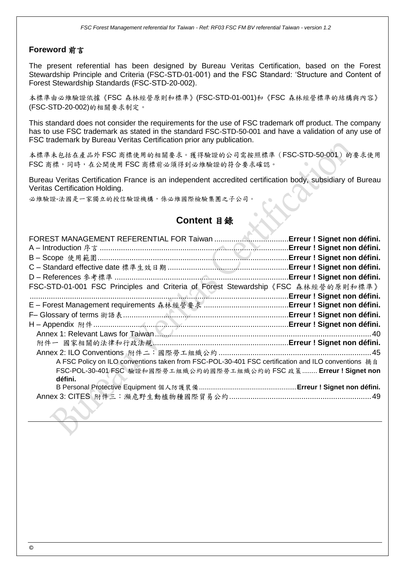#### **Foreword** 前言

The present referential has been designed by Bureau Veritas Certification, based on the Forest Stewardship Principle and Criteria (FSC-STD-01-001) and the FSC Standard: 'Structure and Content of Forest Stewardship Standards (FSC-STD-20-002).

本標準由必維驗證依據《FSC 森林經營原則和標準》(FSC-STD-01-001)和《FSC 森林經營標準的結構與內容》 (FSC-STD-20-002)的相關要求制定。

This standard does not consider the requirements for the use of FSC trademark off product. The company has to use FSC trademark as stated in the standard FSC-STD-50-001 and have a validation of any use of FSC trademark by Bureau Veritas Certification prior any publication.

本標準未包括在產品外 FSC 商標使用的相關要求。獲得驗證的公司需按照標準(FSC-STD-50-001)的要求使用 FSC 商標,同時,在公開使用FSC 商標前必須得到必維驗證的符合要求確認。

Bureau Veritas Certification France is an independent accredited certification body, subsidiary of Bureau Veritas Certification Holding.

必維驗證-法國是一家獨立的授信驗證機構,係必維國際檢驗集團之子公司。

# **Content** 目錄

| FSC-STD-01-001 FSC Principles and Criteria of Forest Stewardship 《FSC 森林經營的原則和標準》                                                                                                     | Erreur ! Signet non défini.<br>.Erreur ! Signet non défini.<br>Erreur ! Signet non défini.<br>.Erreur ! Signet non défini.<br>Erreur ! Signet non défini.<br>Erreur ! Signet non défini. |
|---------------------------------------------------------------------------------------------------------------------------------------------------------------------------------------|------------------------------------------------------------------------------------------------------------------------------------------------------------------------------------------|
|                                                                                                                                                                                       |                                                                                                                                                                                          |
|                                                                                                                                                                                       |                                                                                                                                                                                          |
|                                                                                                                                                                                       |                                                                                                                                                                                          |
| A FSC Policy on ILO conventions taken from FSC-POL-30-401 FSC certification and ILO conventions 摘自<br>FSC-POL-30-401 FSC 驗證和國際勞工組織公約的國際勞工組織公約的 FSC 政策  Erreur ! Signet non<br>défini. |                                                                                                                                                                                          |
|                                                                                                                                                                                       |                                                                                                                                                                                          |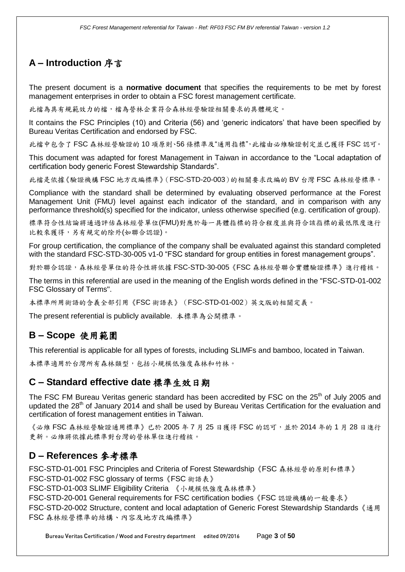# **A – Introduction** 序言

The present document is a **normative document** that specifies the requirements to be met by forest management enterprises in order to obtain a FSC forest management certificate.

此檔為具有規範效力的檔,檔為營林企業符合森林經營驗證相關要求的具體規定。

It contains the FSC Principles (10) and Criteria (56) and 'generic indicators' that have been specified by Bureau Veritas Certification and endorsed by FSC.

此檔中包含了 FSC 森林經營驗證的 10 項原則、56 條標準及"通用指標",此檔由必維驗證制定並已獲得 FSC 認可。

This document was adapted for forest Management in Taiwan in accordance to the "Local adaptation of certification body generic Forest Stewardship Standards".

此檔是依據《驗證機構 FSC 地方改編標準》(FSC-STD-20-003)的相關要求改編的 BV 台灣 FSC 森林經營標準。

Compliance with the standard shall be determined by evaluating observed performance at the Forest Management Unit (FMU) level against each indicator of the standard, and in comparison with any performance threshold(s) specified for the indicator, unless otherwise specified (e.g. certification of group).

標準符合性結論將通過評估森林經營單位(FMU)對應於每一具體指標的符合程度並與符合該指標的最低限度進行 比較來獲得,另有規定的除外(如聯合認證)。

For group certification, the compliance of the company shall be evaluated against this standard completed with the standard FSC-STD-30-005 v1-0 "FSC standard for group entities in forest management groups".

對於聯合認證,森林經營單位的符合性將依據 FSC-STD-30-005《FSC 森林經營聯合實體驗證標準》進行稽核。

The terms in this referential are used in the meaning of the English words defined in the "FSC-STD-01-002 FSC Glossary of Terms".

本標準所用術語的含義全部引用《FSC 術語表》(FSC-STD-01-002)英文版的相關定義。

The present referential is publicly available. 本標準為公開標準。

## **B – Scope** 使用範圍

This referential is applicable for all types of forests, including SLIMFs and bamboo, located in Taiwan.

本標準適用於台灣所有森林類型,包括小規模低強度森林和竹林。

## **C – Standard effective date** 標準生效日期

The FSC FM Bureau Veritas generic standard has been accredited by FSC on the 25<sup>th</sup> of July 2005 and updated the 28<sup>th</sup> of January 2014 and shall be used by Bureau Veritas Certification for the evaluation and certification of forest management entities in Taiwan.

《必維 FSC 森林經營驗證通用標準》已於 2005年7月25日獲得 FSC 的認可,並於 2014年的1月28日進行 更新。必維將依據此標準對台灣的營林單位進行稽核。

## **D – References** 參考標準

FSC-STD-01-001 FSC Principles and Criteria of Forest Stewardship《FSC 森林經營的原則和標準》 FSC-STD-01-002 FSC glossary of terms《FSC 術語表》

FSC-STD-01-003 SLIMF Eligibility Criteria 《小規模低強度森林標準》

FSC-STD-20-001 General requirements for FSC certification bodies《FSC 認證機構的一般要求》

FSC-STD-20-002 Structure, content and local adaptation of Generic Forest Stewardship Standards《通用 FSC 森林經營標準的結構、內容及地方改編標準》

Bureau Veritas Certification / Wood and Forestry department edited 09/2016 Page **3** of **50**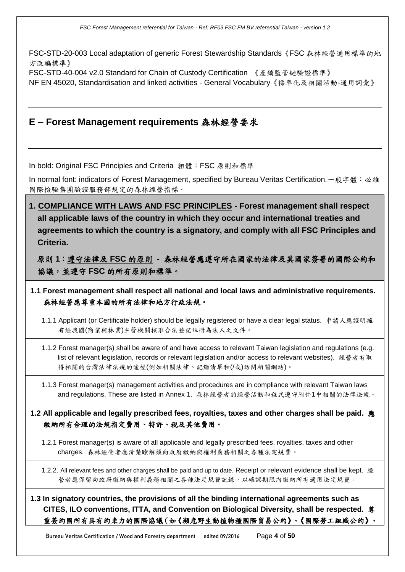FSC-STD-20-003 Local adaptation of generic Forest Stewardship Standards《FSC 森林經營通用標準的地 方改編標準》

FSC-STD-40-004 v2.0 Standard for Chain of Custody Certification 《產銷監管鏈驗證標準》

NF EN 45020, Standardisation and linked activities - General Vocabulary《標準化及相關活動-通用詞彙》

# **E – Forest Management requirements** 森林經營要求

In bold: Original FSC Principles and Criteria 粗體: FSC 原則和標準

In normal font: indicators of Forest Management, specified by Bureau Veritas Certification. 一般字體: 必維 國際檢驗集團驗證服務部規定的森林經營指標。

**1. COMPLIANCE WITH LAWS AND FSC PRINCIPLES - Forest management shall respect all applicable laws of the country in which they occur and international treaties and agreements to which the country is a signatory, and comply with all FSC Principles and Criteria.**

原則 **1**:遵守法律及 **FSC** 的原則 **-** 森林經營應遵守所在國家的法律及其國家簽署的國際公約和 協議,並遵守 **FSC** 的所有原則和標準。

**1.1 Forest management shall respect all national and local laws and administrative requirements.**  森林經營應尊重本國的所有法律和地方行政法規。

1.1.1 Applicant (or Certificate holder) should be legally registered or have a clear legal status. 申請人應證明擁 有經我國(商業與林業)主管機關核准合法登記註冊為法人之文件。

1.1.2 Forest manager(s) shall be aware of and have access to relevant Taiwan legislation and regulations (e.g. list of relevant legislation, records or relevant legislation and/or access to relevant websites). 經營者有取 得相關的台灣法律法規的途徑(例如相關法律、記錄清單和(/或)訪問相關網站)。

1.1.3 Forest manager(s) management activities and procedures are in compliance with relevant Taiwan laws and regulations. These are listed in Annex 1. 森林經營者的經營活動和程式遵守附件1中相關的法律法規。

**1.2 All applicable and legally prescribed fees, royalties, taxes and other charges shall be paid.** 應 繳納所有合理的法規指定費用、特許、稅及其他費用。

1.2.1 Forest manager(s) is aware of all applicable and legally prescribed fees, royalties, taxes and other charges. 森林經營者應清楚瞭解須向政府繳納與權利義務相關之各種法定規費。

1.2.2. All relevant fees and other charges shall be paid and up to date. Receipt or relevant evidence shall be kept. 經 營者應保留向政府繳納與權利義務相關之各種法定規費記錄,以確認期限內繳納所有適用法定規費。

**1.3 In signatory countries, the provisions of all the binding international agreements such as CITES, ILO conventions, ITTA, and Convention on Biological Diversity, shall be respected.** 尊 重簽約國所有具有約束力的國際協議(如《瀕危野生動植物種國際貿易公約》、《國際勞工組織公約》、

Bureau Veritas Certification / Wood and Forestry department edited 09/2016 Page **4** of **50**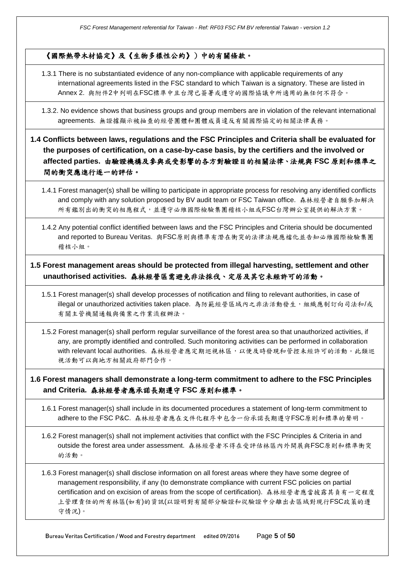#### 《國際熱帶木材協定》及《生物多樣性公約》)中的有關條款。

- 1.3.1 There is no substantiated evidence of any non-compliance with applicable requirements of any international agreements listed in the FSC standard to which Taiwan is a signatory. These are listed in Annex 2. 與附件2中列明在FSC標準中且台灣已簽署或遵守的國際協議中所適用的無任何不符合。
- 1.3.2. No evidence shows that business groups and group members are in violation of the relevant international agreements. 無證據顯示被抽查的經營團體和團體成員違反有關國際協定的相關法律義務。
- **1.4 Conflicts between laws, regulations and the FSC Principles and Criteria shall be evaluated for the purposes of certification, on a case-by-case basis, by the certifiers and the involved or affected parties.** 由驗證機構及參與或受影響的各方對驗證目的相關法律、法規與 **FSC** 原則和標準之 間的衝突應進行逐一的評估。
	- 1.4.1 Forest manager(s) shall be willing to participate in appropriate process for resolving any identified conflicts and comply with any solution proposed by BV audit team or FSC Taiwan office. 森林經營者自願參加解決 所有鑑別出的衝突的相應程式,並遵守必維國際檢驗集團稽核小組或FSC台灣辦公室提供的解決方案。
	- 1.4.2 Any potential conflict identified between laws and the FSC Principles and Criteria should be documented and reported to Bureau Veritas. 與FSC原則與標準有潛在衝突的法律法規應檔化並告知必維國際檢驗集團 稽核小組。

## **1.5 Forest management areas should be protected from illegal harvesting, settlement and other unauthorised activities.** 森林經營區需避免非法採伐、定居及其它未經許可的活動。

- 1.5.1 Forest manager(s) shall develop processes of notification and filing to relevant authorities, in case of illegal or unauthorized activities taken place. 為防範經營區域內之非法活動發生,組織應制訂向司法和/或 有關主管機關通報與備案之作業流程辦法。
- 1.5.2 Forest manager(s) shall perform regular surveillance of the forest area so that unauthorized activities, if any, are promptly identified and controlled. Such monitoring activities can be performed in collaboration with relevant local authorities. 森林經營者應定期巡視林區,以便及時發現和管控未經許可的活動。此類巡 視活動可以與地方相關政府部門合作。

**1.6 Forest managers shall demonstrate a long-term commitment to adhere to the FSC Principles and Criteria.** 森林經營者應承諾長期遵守 **FSC** 原則和標準。

1.6.1 Forest manager(s) shall include in its documented procedures a statement of long-term commitment to adhere to the FSC P&C. 森林經營者應在文件化程序中包含一份承諾長期遵守FSC原則和標準的聲明。

1.6.2 Forest manager(s) shall not implement activities that conflict with the FSC Principles & Criteria in and outside the forest area under assessment. 森林經營者不得在受評估林區內外開展與FSC原則和標準衝突 的活動。

1.6.3 Forest manager(s) shall disclose information on all forest areas where they have some degree of management responsibility, if any (to demonstrate compliance with current FSC policies on partial certification and on excision of areas from the scope of certification). 森林經營者應當披露其負有一定程度 上管理責任的所有林區(如有)的資訊(以證明對有關部分驗證和從驗證中分離出去區域對現行FSC政策的遵 守情況)。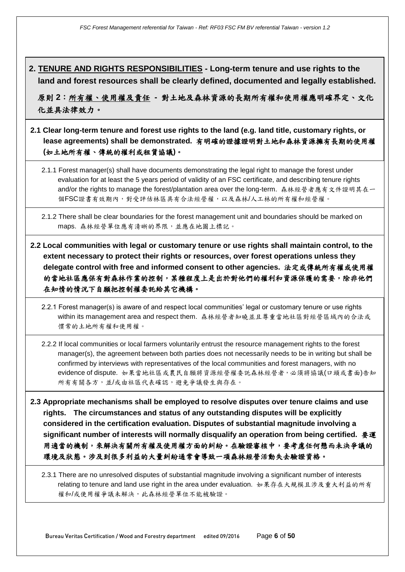**2. TENURE AND RIGHTS RESPONSIBILITIES - Long-term tenure and use rights to the land and forest resources shall be clearly defined, documented and legally established.**

原則 **2**:所有權、使用權及責任 **-** 對土地及森林資源的長期所有權和使用權應明確界定、文化 化並具法律效力。

**2.1 Clear long-term tenure and forest use rights to the land (e.g. land title, customary rights, or lease agreements) shall be demonstrated.** 有明確的證據證明對土地和森林資源擁有長期的使用權 **(**如土地所有權、傳統的權利或租賃協議**)**。

2.1.1 Forest manager(s) shall have documents demonstrating the legal right to manage the forest under evaluation for at least the 5 years period of validity of an FSC certificate, and describing tenure rights and/or the rights to manage the forest/plantation area over the long-term. 森林經營者應有文件證明其在一 個FSC證書有效期內,對受評估林區具有合法經營權,以及森林/人工林的所有權和經營權。

2.1.2 There shall be clear boundaries for the forest management unit and boundaries should be marked on maps. 森林經營單位應有清晰的界限,並應在地圖上標記。

**2.2 Local communities with legal or customary tenure or use rights shall maintain control, to the extent necessary to protect their rights or resources, over forest operations unless they delegate control with free and informed consent to other agencies.** 法定或傳統所有權或使用權 的當地社區應保有對森林作業的控制,某種程度上是出於對他們的權利和資源保護的需要,除非他們 在知情的情況下自願把控制權委託給其它機構。

2.2.1 Forest manager(s) is aware of and respect local communities' legal or customary tenure or use rights within its management area and respect them. 森林經營者知曉並且尊重當地社區對經營區域內的合法或 慣常的土地所有權和使用權。

2.2.2 If local communities or local farmers voluntarily entrust the resource management rights to the forest manager(s), the agreement between both parties does not necessarily needs to be in writing but shall be confirmed by interviews with representatives of the local communities and forest managers, with no evidence of dispute. 如果當地社區或農民自願將資源經營權委託森林經營者,必須將協議(口頭或書面)告知 所有有關各方,並/或由社區代表確認,避免爭議發生與存在。

**2.3 Appropriate mechanisms shall be employed to resolve disputes over tenure claims and use rights. The circumstances and status of any outstanding disputes will be explicitly considered in the certification evaluation. Disputes of substantial magnitude involving a significant number of interests will normally disqualify an operation from being certified.** 要運 用適當的機制,來解決有關所有權及使用權方面的糾紛。在驗證審核中,要考慮任何懸而未決爭議的 環境及狀態。涉及到很多利益的大量糾紛通常會導致一項森林經營活動失去驗證資格。

2.3.1 There are no unresolved disputes of substantial magnitude involving a significant number of interests relating to tenure and land use right in the area under evaluation. 如果存在大規模且涉及重大利益的所有 權和/或使用權爭議未解決,此森林經營單位不能被驗證。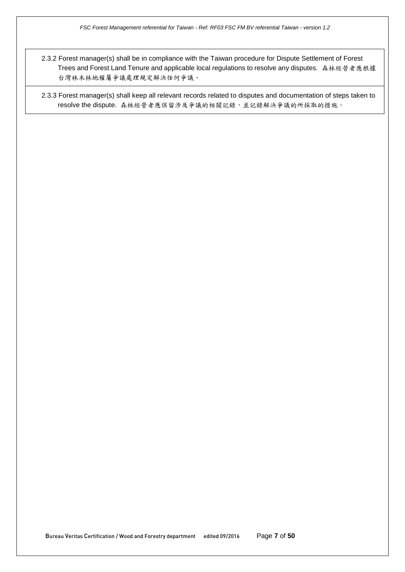2.3.2 Forest manager(s) shall be in compliance with the Taiwan procedure for Dispute Settlement of Forest Trees and Forest Land Tenure and applicable local regulations to resolve any disputes. 森林經營者應根據 台灣林木林地權屬爭議處理規定解決任何爭議。

2.3.3 Forest manager(s) shall keep all relevant records related to disputes and documentation of steps taken to resolve the dispute. 森林經營者應保留涉及爭議的相關記錄,並記錄解決爭議的所採取的措施。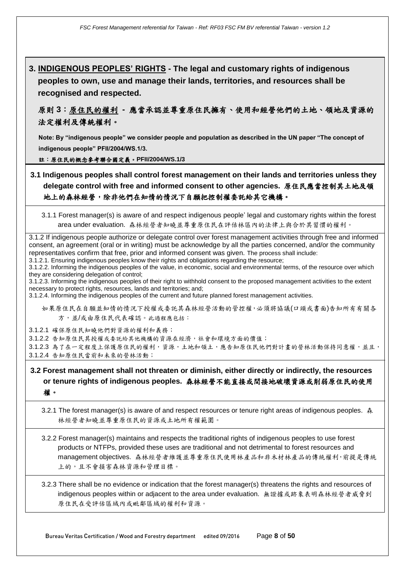**3. INDIGENOUS PEOPLES' RIGHTS - The legal and customary rights of indigenous peoples to own, use and manage their lands, territories, and resources shall be recognised and respected.**

原則 **3**:原住民的權利 **-** 應當承認並尊重原住民擁有、使用和經營他們的土地、領地及資源的 法定權利及傳統權利。

**Note: By "indigenous people" we consider people and population as described in the UN paper "The concept of indigenous people" PFII/2004/WS.1/3.**

註:原住民的概念參考聯合國定義。**PFII/2004/WS.1/3**

- **3.1 Indigenous peoples shall control forest management on their lands and territories unless they delegate control with free and informed consent to other agencies.** 原住民應當控制其土地及領 地上的森林經營,除非他們在知情的情況下自願把控制權委託給其它機構。
	- 3.1.1 Forest manager(s) is aware of and respect indigenous people' legal and customary rights within the forest area under evaluation. 森林經營者知曉並尊重原住民在評估林區內的法律上與合於其習慣的權利。

3.1.2 If indigenous people authorize or delegate control over forest management activities through free and informed consent, an agreement (oral or in writing) must be acknowledge by all the parties concerned, and/or the community representatives confirm that free, prior and informed consent was given. The process shall include: 3.1.2.1. Ensuring indigenous peoples know their rights and obligations regarding the resource;

3.1.2.2. Informing the indigenous peoples of the value, in economic, social and environmental terms, of the resource over which they are considering delegation of control;

3.1.2.3. Informing the indigenous peoples of their right to withhold consent to the proposed management activities to the extent necessary to protect rights, resources, lands and territories; and;

3.1.2.4. Informing the indigenous peoples of the current and future planned forest management activities.

如果原住民在自願並知情的情況下授權或委託其森林經營活動的管控權,必須將協議(口頭或書面)告知所有有關各 方,並/或由原住民代表確認。此過程應包括:

3.1.2.1 確保原住民知曉他們對資源的權利和義務;

3.1.2.2 告知原住民其授權或委託給其他機構的資源在經濟,社會和環境方面的價值;

3.1.2.3 為了在一定程度上保護原住民的權利,資源,土地和領土,應告知原住民他們對計書的營林活動保持同意權,並且; 3.1.2.4 告知原住民當前和未來的營林活動;

## **3.2 Forest management shall not threaten or diminish, either directly or indirectly, the resources or tenure rights of indigenous peoples.** 森林經營不能直接或間接地破壞資源或削弱原住民的使用 權。

3.2.1 The forest manager(s) is aware of and respect resources or tenure right areas of indigenous peoples. 森 林經營者知曉並尊重原住民的資源或土地所有權範圍。

3.2.2 Forest manager(s) maintains and respects the traditional rights of indigenous peoples to use forest products or NTFPs, provided these uses are traditional and not detrimental to forest resources and management objectives. 森林經營者維護並尊重原住民使用林產品和非木材林產品的傳統權利,前提是傳統 上的,且不會損害森林資源和管理目標。

3.2.3 There shall be no evidence or indication that the forest manager(s) threatens the rights and resources of indigenous peoples within or adjacent to the area under evaluation. 無證據或跡象表明森林經營者威脅到 原住民在受評估區域內或毗鄰區域的權利和資源。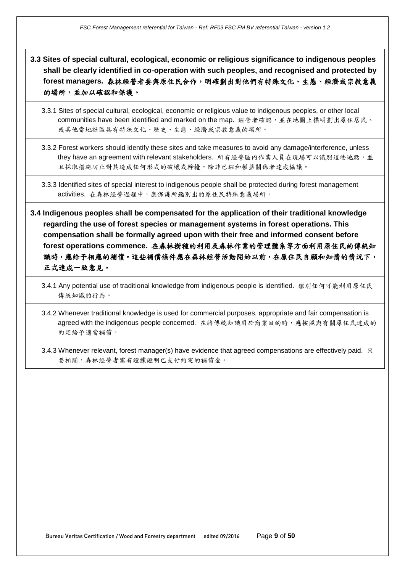**3.3 Sites of special cultural, ecological, economic or religious significance to indigenous peoples shall be clearly identified in co-operation with such peoples, and recognised and protected by forest managers.** 森林經營者要與原住民合作,明確劃出對他們有特殊文化、生態、經濟或宗教意義 的場所,並加以確認和保護。

- 3.3.1 Sites of special cultural, ecological, economic or religious value to indigenous peoples, or other local communities have been identified and marked on the map. 經營者確認,並在地圖上標明劃出原住居民、 或其他當地社區具有特殊文化、歷史、生態、經濟或宗教意義的場所。
- 3.3.2 Forest workers should identify these sites and take measures to avoid any damage/interference, unless they have an agreement with relevant stakeholders. 所有經營區內作業人員在現場可以識別這些地點,並 且採取措施防止對其造成任何形式的破壞或幹擾,除非已經和權益關係者達成協議。

3.3.3 Identified sites of special interest to indigenous people shall be protected during forest management activities. 在森林經營過程中,應保護所鑑別出的原住民特殊意義場所。

**3.4 Indigenous peoples shall be compensated for the application of their traditional knowledge regarding the use of forest species or management systems in forest operations. This compensation shall be formally agreed upon with their free and informed consent before forest operations commence.** 在森林樹種的利用及森林作業的管理體系等方面利用原住民的傳統知 識時,應給予相應的補償。這些補償條件應在森林經營活動開始以前,在原住民自願和知情的情況下, 正式達成一致意見。

3.4.1 Any potential use of traditional knowledge from indigenous people is identified. 鑑別任何可能利用原住民 傳統知識的行為。

3.4.2 Whenever traditional knowledge is used for commercial purposes, appropriate and fair compensation is agreed with the indigenous people concerned. 在將傳統知識用於商業目的時,應按照與有關原住民達成的 約定給予適當補償。

3.4.3 Whenever relevant, forest manager(s) have evidence that agreed compensations are effectively paid. 只 要相關,森林經營者需有證據證明已支付約定的補償金。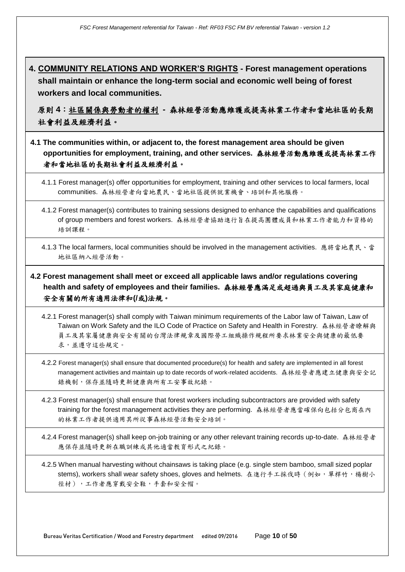**4. COMMUNITY RELATIONS AND WORKER'S RIGHTS - Forest management operations shall maintain or enhance the long-term social and economic well being of forest workers and local communities.**

原則 **4**:社區關係與勞動者的權利 **-** 森林經營活動應維護或提高林業工作者和當地社區的長期 社會利益及經濟利益。

- **4.1 The communities within, or adjacent to, the forest management area should be given opportunities for employment, training, and other services.** 森林經營活動應維護或提高林業工作 者和當地社區的長期社會利益及經濟利益。
	- 4.1.1 Forest manager(s) offer opportunities for employment, training and other services to local farmers, local communities. 森林經營者向當地農民、當地社區提供就業機會、培訓和其他服務。
	- 4.1.2 Forest manager(s) contributes to training sessions designed to enhance the capabilities and qualifications of group members and forest workers. 森林經營者協助進行旨在提高團體成員和林業工作者能力和資格的 培訓課程。
	- 4.1.3 The local farmers, local communities should be involved in the management activities. 應將當地農民、當 地社區納入經營活動。

**4.2 Forest management shall meet or exceed all applicable laws and/or regulations covering health and safety of employees and their families.** 森林經營應滿足或超過與員工及其家庭健康和 安全有關的所有適用法律和**(/**或**)**法規。

- 4.2.1 Forest manager(s) shall comply with Taiwan minimum requirements of the Labor law of Taiwan, Law of Taiwan on Work Safety and the ILO Code of Practice on Safety and Health in Forestry. 森林經營者瞭解與 員工及其家屬健康與安全有關的台灣法律規章及國際勞工組織操作規程所要求林業安全與健康的最低要 求,並遵守這些規定。
- 4.2.2 Forest manager(s) shall ensure that documented procedure(s) for health and safety are implemented in all forest management activities and maintain up to date records of work-related accidents. 森林經營者應建立健康與安全記 錄機制,保存並隨時更新健康與所有工安事故紀錄。
- 4.2.3 Forest manager(s) shall ensure that forest workers including subcontractors are provided with safety training for the forest management activities they are performing. 森林經營者應當確保向包括分包商在內 的林業工作者提供適用其所從事森林經營活動安全培訓。

4.2.4 Forest manager(s) shall keep on-job training or any other relevant training records up-to-date. 森林經營者 應保存並隨時更新在職訓練或其他適當教育形式之紀錄。

4.2.5 When manual harvesting without chainsaws is taking place (e.g. single stem bamboo, small sized poplar stems), workers shall wear safety shoes, gloves and helmets. 在進行手工採伐時(例如,單桿竹,楊樹小 徑材),工作者應穿戴安全鞋,手套和安全帽。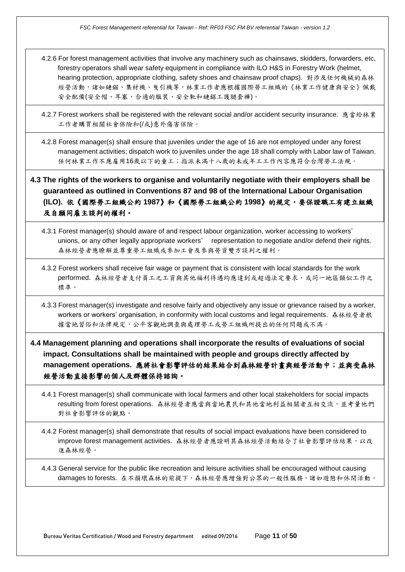4.2.6 For forest management activities that involve any machinery such as chainsaws, skidders, forwarders, etc, forestry operators shall wear safety equipment in compliance with ILO H&S in Forestry Work (helmet, hearing protection, appropriate clothing, safety shoes and chainsaw proof chaps). 對涉及任何機械的森林 經營活動,諸如鏈鋸、集材機、曳引機等,林業工作者應根據國際勞工組織的《林業工作健康與安全》佩戴 安全配備(安全帽、耳塞、合適的服裝、安全靴和鏈鋸工護腿套褲)。

4.2.7 Forest workers shall be registered with the relevant social and/or accident security insurance. 應當給林業 工作者購買相關社會保險和(/或)意外傷害保險。

4.2.8 Forest manager(s) shall ensure that juveniles under the age of 16 are not employed under any forest management activities; dispatch work to juveniles under the age 18 shall comply with Labor law of Taiwan. 任何林業工作不應雇用16歲以下的童工;指派未滿十八歲的未成年工工作內容應符合台灣勞工法規。

## **4.3 The rights of the workers to organise and voluntarily negotiate with their employers shall be guaranteed as outlined in Conventions 87 and 98 of the International Labour Organisation (ILO).** 依《國際勞工組織公約 **1987**》和《國際勞工組織公約 **1998**》的規定,要保證職工有建立組織 及自願同雇主談判的權利。

- 4.3.1 Forest manager(s) should aware of and respect labour organization, worker accessing to workers' unions, or any other legally appropriate workers' representation to negotiate and/or defend their rights. 森林經營者應瞭解並尊重勞工組織或參加工會及參與勞資雙方談判之權利。
- 4.3.2 Forest workers shall receive fair wage or payment that is consistent with local standards for the work performed. 森林經營者支付員工之工資與其他福利待遇均應達到或超過法定要求,或同一地區類似工作之 標準。
- 4.3.3 Forest manager(s) investigate and resolve fairly and objectively any issue or grievance raised by a worker, workers or workers' organisation, in conformity with local customs and legal requirements. 森林經營者根 據當地習俗和法律規定,公平客觀地調查與處理勞工或勞工組織所提出的任何問題或不滿。
- **4.4 Management planning and operations shall incorporate the results of evaluations of social impact. Consultations shall be maintained with people and groups directly affected by management operations.** 應將社會影響評估的結果結合到森林經營計畫與經營活動中;並與受森林 經營活動直接影響的個人及群體保持諮詢。
	- 4.4.1 Forest manager(s) shall communicate with local farmers and other local stakeholders for social impacts resulting from forest operations. 森林經營者應當與當地農民和其他當地利益相關者互相交流,並考量他們 對社會影響評估的觀點。
	- 4.4.2 Forest manager(s) shall demonstrate that results of social impact evaluations have been considered to improve forest management activities. 森林經營者應證明其森林經營活動結合了社會影響評估結果, 以改 進森林經營。

4.4.3 General service for the public like recreation and leisure activities shall be encouraged without causing damages to forests. 在不損壞森林的前提下,森林經營應增強對公眾的一般性服務,諸如遊憩和休閒活動。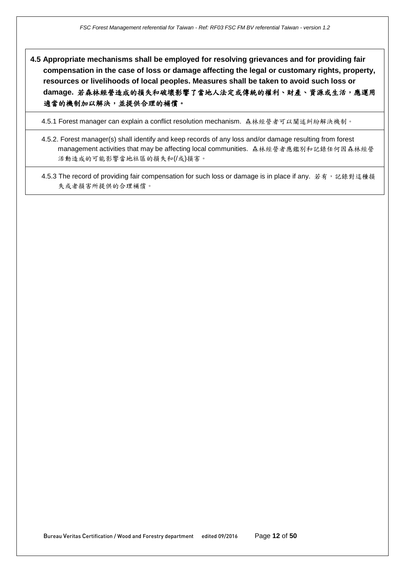**4.5 Appropriate mechanisms shall be employed for resolving grievances and for providing fair compensation in the case of loss or damage affecting the legal or customary rights, property, resources or livelihoods of local peoples. Measures shall be taken to avoid such loss or damage.** 若森林經營造成的損失和破壞影響了當地人法定或傳統的權利、財產、資源或生活,應運用 適當的機制加以解決,並提供合理的補償。

4.5.1 Forest manager can explain a conflict resolution mechanism. 森林經營者可以闡述糾紛解決機制。

4.5.2. Forest manager(s) shall identify and keep records of any loss and/or damage resulting from forest management activities that may be affecting local communities. 森林經營者應鑑別和記錄任何因森林經營 活動造成的可能影響當地社區的損失和(/或)損害。

4.5.3 The record of providing fair compensation for such loss or damage is in place if any. 若有, 記錄對這種損 失或者損害所提供的合理補償。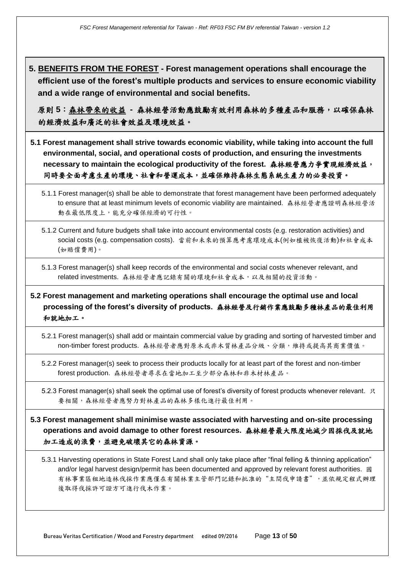**5. BENEFITS FROM THE FOREST - Forest management operations shall encourage the efficient use of the forest's multiple products and services to ensure economic viability and a wide range of environmental and social benefits.**

原則 5:森林帶來的收益 · 森林經營活動應鼓勵有效利用森林的多種產品和服務, 以確保森林 的經濟效益和廣泛的社會效益及環境效益。

- **5.1 Forest management shall strive towards economic viability, while taking into account the full environmental, social, and operational costs of production, and ensuring the investments necessary to maintain the ecological productivity of the forest.** 森林經營應力爭實現經濟效益, 同時要全面考慮生產的環境、社會和營運成本,並確保維持森林生態系統生產力的必要投資。
	- 5.1.1 Forest manager(s) shall be able to demonstrate that forest management have been performed adequately to ensure that at least minimum levels of economic viability are maintained. 森林經營者應證明森林經營活 動在最低限度上,能充分確保經濟的可行性。
	- 5.1.2 Current and future budgets shall take into account environmental costs (e.g. restoration activities) and social costs (e.g. compensation costs). 當前和未來的預算應考慮環境成本(例如植被恢復活動)和社會成本 (如賠償費用)。
	- 5.1.3 Forest manager(s) shall keep records of the environmental and social costs whenever relevant, and related investments. 森林經營者應記錄有關的環境和社會成本,以及相關的投資活動。

## **5.2 Forest management and marketing operations shall encourage the optimal use and local processing of the forest's diversity of products.** 森林經營及行銷作業應鼓勵多種林產品的最佳利用 和就地加工。

- 5.2.1 Forest manager(s) shall add or maintain commercial value by grading and sorting of harvested timber and non-timber forest products. 森林經營者應對原木或非木質林產品分級、分類,維持或提高其商業價值。
- 5.2.2 Forest manager(s) seek to process their products locally for at least part of the forest and non-timber forest production. 森林經營者尋求在當地加工至少部分森林和非木材林產品。
- 5.2.3 Forest manager(s) shall seek the optimal use of forest's diversity of forest products whenever relevant. 只 要相關,森林經營者應努力對林產品的森林多樣化進行最佳利用。

**5.3 Forest management shall minimise waste associated with harvesting and on-site processing operations and avoid damage to other forest resources.** 森林經營最大限度地減少因採伐及就地 加工造成的浪費,並避免破壞其它的森林資源。

5.3.1 Harvesting operations in State Forest Land shall only take place after "final felling & thinning application" and/or legal harvest design/permit has been documented and approved by relevant forest authorities. 國 有林事業區租地造林伐採作業應僅在有關林業主管部門記錄和批准的"主間伐申請書",並依規定程式辦理 後取得伐採許可證方可進行伐木作業。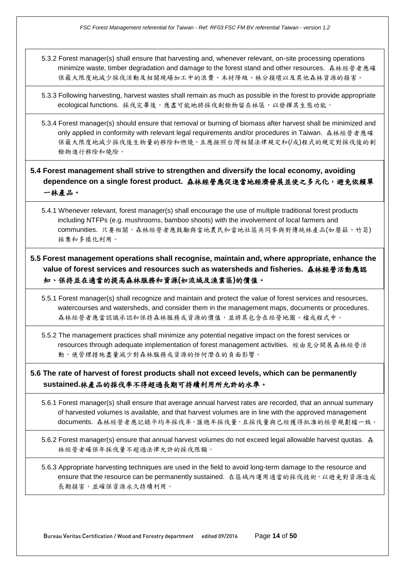5.3.2 Forest manager(s) shall ensure that harvesting and, whenever relevant, on-site processing operations minimize waste, timber degradation and damage to the forest stand and other resources. 森林經營者應確 保最大限度地減少採伐活動及相關現場加工中的浪費、木材降級、林分損壞以及其他森林資源的損害。

5.3.3 Following harvesting, harvest wastes shall remain as much as possible in the forest to provide appropriate ecological functions. 採伐完畢後,應盡可能地將採伐剩餘物留在林區,以發揮其生態功能。

5.3.4 Forest manager(s) should ensure that removal or burning of biomass after harvest shall be minimized and only applied in conformity with relevant legal requirements and/or procedures in Taiwan. 森林經營者應確 保最大限度地減少採伐後生物量的移除和燃燒,且應按照台灣相關法律規定和(/或)程式的規定對採伐後的剩 餘物進行移除和燒除。

**5.4 Forest management shall strive to strengthen and diversify the local economy, avoiding**  dependence on a single forest product. 森林經營應促進當地經濟發展並使之多元化,避免依賴單 一林產品。

5.4.1 Whenever relevant, forest manager(s) shall encourage the use of multiple traditional forest products including NTFPs (e.g. mushrooms, bamboo shoots) with the involvement of local farmers and communities. 只要相關,森林經營者應鼓勵與當地農民和當地社區共同參與對傳統林產品(如蘑菇、竹筍) 採集和多樣化利用。

**5.5 Forest management operations shall recognise, maintain and, where appropriate, enhance the value of forest services and resources such as watersheds and fisheries.** 森林經營活動應認 知、保持並在適當的提高森林服務和資源**(**如流域及漁業區**)**的價值。

5.5.1 Forest manager(s) shall recognize and maintain and protect the value of forest services and resources, watercourses and watersheds, and consider them in the management maps, documents or procedures. 森林經營者應當認識承認和保持森林服務或資源的價值,並將其包含在經營地圖、檔或程式中。

5.5.2 The management practices shall minimize any potential negative impact on the forest services or resources through adequate implementation of forest management activities. 經由充分開展森林經營活 動,使管理措施盡量減少對森林服務或資源的任何潛在的負面影響。

**5.6 The rate of harvest of forest products shall not exceed levels, which can be permanently sustained.**林產品的採伐率不得超過長期可持續利用所允許的水準。

5.6.1 Forest manager(s) shall ensure that average annual harvest rates are recorded, that an annual summary of harvested volumes is available, and that harvest volumes are in line with the approved management documents. 森林經營者應記錄平均年採伐率,匯總年採伐量,且採伐量與已經獲得批准的經營規劃檔一致。

5.6.2 Forest manager(s) ensure that annual harvest volumes do not exceed legal allowable harvest quotas. 森 林經營者確保年採伐量不超過法律允許的採伐限額。

5.6.3 Appropriate harvesting techniques are used in the field to avoid long-term damage to the resource and ensure that the resource can be permanently sustained. 在區域內運用適當的採伐技術, 以避免對資源造成 長期損害,並確保資源永久持續利用。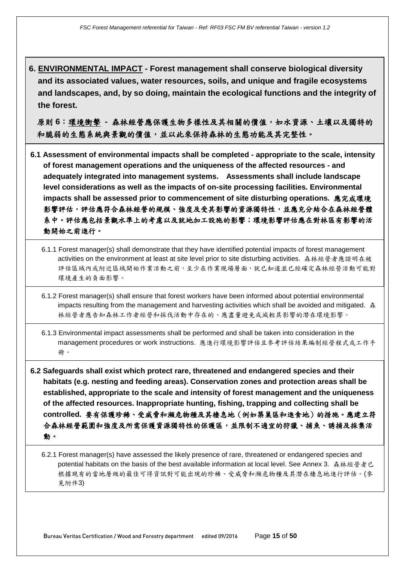**6. ENVIRONMENTAL IMPACT - Forest management shall conserve biological diversity and its associated values, water resources, soils, and unique and fragile ecosystems and landscapes, and, by so doing, maintain the ecological functions and the integrity of the forest.**

原則6:環境衝擊 - 森林經營應保護生物多樣性及其相關的價值,如水資源、土壤以及獨特的 和脆弱的生態系統與景觀的價值,並以此來保持森林的生態功能及其完整性。

- **6.1 Assessment of environmental impacts shall be completed - appropriate to the scale, intensity of forest management operations and the uniqueness of the affected resources - and adequately integrated into management systems. Assessments shall include landscape level considerations as well as the impacts of on-site processing facilities. Environmental impacts shall be assessed prior to commencement of site disturbing operations.** 應完成環境 影響評估,評估應符合森林經營的規模、強度及受其影響的資源獨特性,並應充分結合在森林經營體 系中。評估應包括景觀水準上的考慮以及就地加工設施的影響;環境影響評估應在對林區有影響的活 動開始之前進行。
	- 6.1.1 Forest manager(s) shall demonstrate that they have identified potential impacts of forest management activities on the environment at least at site level prior to site disturbing activities. 森林經營者應證明在被 評估區域內或附近區域開始作業活動之前,至少在作業現場層面,就已知道並已經確定森林經營活動可能對 環境產生的負面影響。
	- 6.1.2 Forest manager(s) shall ensure that forest workers have been informed about potential environmental impacts resulting from the management and harvesting activities which shall be avoided and mitigated. 森 林經營者應告知森林工作者經營和採伐活動中存在的、應盡量避免或減輕其影響的潛在環境影響。
	- 6.1.3 Environmental impact assessments shall be performed and shall be taken into consideration in the management procedures or work instructions. 應進行環境影響評估且參考評估結果編制經營程式或工作手 冊。
- **6.2 Safeguards shall exist which protect rare, threatened and endangered species and their habitats (e.g. nesting and feeding areas). Conservation zones and protection areas shall be established, appropriate to the scale and intensity of forest management and the uniqueness of the affected resources. Inappropriate hunting, fishing, trapping and collecting shall be controlled.** 要有保護珍稀、受威脅和瀕危物種及其棲息地(例如築巢區和進食地)的措施。應建立符 合森林經營範圍和強度及所需保護資源獨特性的保護區,並限制不適宜的狩獵、捕魚、誘捕及採集活 動。
	- 6.2.1 Forest manager(s) have assessed the likely presence of rare, threatened or endangered species and potential habitats on the basis of the best available information at local level. See Annex 3. 森林經營者已 根據現有的當地層級的最佳可得資訊對可能出現的珍稀、受威脅和瀕危物種及其潛在棲息地進行評估。(參 見附件3)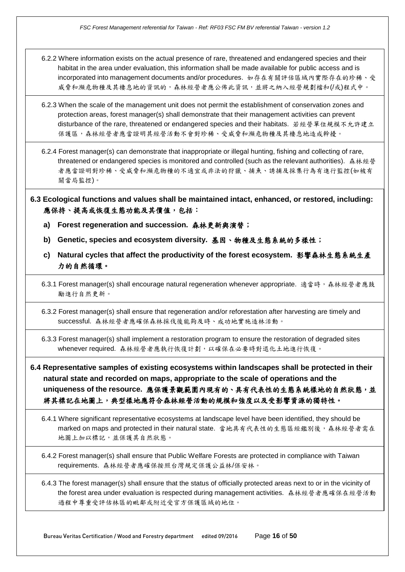- 6.2.2 Where information exists on the actual presence of rare, threatened and endangered species and their habitat in the area under evaluation, this information shall be made available for public access and is incorporated into management documents and/or procedures. 如存在有關評估區域內實際存在的珍稀、受 威脅和瀕危物種及其棲息地的資訊的,森林經營者應公佈此資訊,並將之納入經營規劃檔和(/或)程式中。
- 6.2.3 When the scale of the management unit does not permit the establishment of conservation zones and protection areas, forest manager(s) shall demonstrate that their management activities can prevent disturbance of the rare, threatened or endangered species and their habitats. 若經營單位規模不允許建立 保護區,森林經營者應當發行手對珍稀、受威脅和瀕危物種及其棲息地造成幹擾。
- 6.2.4 Forest manager(s) can demonstrate that inappropriate or illegal hunting, fishing and collecting of rare, threatened or endangered species is monitored and controlled (such as the relevant authorities). 森林經營 者應當證明對珍稀、受威脅和瀕危物種的不適宜或非法的狩獵、捕魚、誘捕及採集行為有進行監控(如被有 關當局監控)。
- **6.3 Ecological functions and values shall be maintained intact, enhanced, or restored, including:**  應保持、提高或恢復生態功能及其價值,包括:
	- **a) Forest regeneration and succession.** 森林更新與演替;
	- **b) Genetic, species and ecosystem diversity.** 基因、物種及生態系統的多樣性;
	- **c) Natural cycles that affect the productivity of the forest ecosystem.** 影響森林生態系統生產 力的自然循環。

6.3.1 Forest manager(s) shall encourage natural regeneration whenever appropriate. 適當時,森林經營者應鼓 勵進行自然更新。

6.3.2 Forest manager(s) shall ensure that regeneration and/or reforestation after harvesting are timely and successful. 森林經營者應確保森林採伐後能夠及時、成功地實施造林活動。

6.3.3 Forest manager(s) shall implement a restoration program to ensure the restoration of degraded sites whenever required. 森林經營者應執行恢復計劃,以確保在必要時對退化土地進行恢復。

**6.4 Representative samples of existing ecosystems within landscapes shall be protected in their natural state and recorded on maps, appropriate to the scale of operations and the uniqueness of the resource.** 應保護景觀範圍內現有的、具有代表性的生態系統樣地的自然狀態,並 將其標記在地圖上,典型樣地應符合森林經營活動的規模和強度以及受影響資源的獨特性。

6.4.1 Where significant representative ecosystems at landscape level have been identified, they should be marked on maps and protected in their natural state. 當地具有代表性的生態區經鑑別後,森林經營者需在 地圖上加以標記,並保護其自然狀態。

6.4.2 Forest manager(s) shall ensure that Public Welfare Forests are protected in compliance with Taiwan requirements. 森林經營者應確保按照台灣規定保護公益林/保安林。

6.4.3 The forest manager(s) shall ensure that the status of officially protected areas next to or in the vicinity of the forest area under evaluation is respected during management activities. 森林經營者應確保在經營活動 過程中尊重受評估林區的毗鄰或附近受官方保護區域的地位。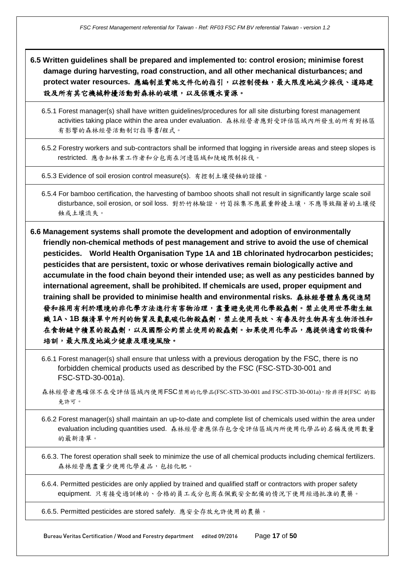- **6.5 Written guidelines shall be prepared and implemented to: control erosion; minimise forest damage during harvesting, road construction, and all other mechanical disturbances; and protect water resources.** 應編制並實施文件化的指引,以控制侵蝕,最大限度地減少採伐、道路建 設及所有其它機械幹擾活動對森林的破壞,以及保護水資源。
	- 6.5.1 Forest manager(s) shall have written guidelines/procedures for all site disturbing forest management activities taking place within the area under evaluation. 森林經營者應對受評估區域內所發生的所有對林區 有影響的森林經營活動制訂指導書/程式。
	- 6.5.2 Forestry workers and sub-contractors shall be informed that logging in riverside areas and steep slopes is restricted. 應告知林業工作者和分包商在河邊區域和陡坡限制採伐。

6.5.3 Evidence of soil erosion control measure(s). 有控制土壤侵蝕的證據。

6.5.4 For bamboo certification, the harvesting of bamboo shoots shall not result in significantly large scale soil disturbance, soil erosion, or soil loss. 對於竹林驗證,竹筍採集不應嚴重幹擾土壤,不應導致顯著的土壤侵 蝕或土壤流失。

**6.6 Management systems shall promote the development and adoption of environmentally friendly non-chemical methods of pest management and strive to avoid the use of chemical pesticides. World Health Organisation Type 1A and 1B chlorinated hydrocarbon pesticides; pesticides that are persistent, toxic or whose derivatives remain biologically active and accumulate in the food chain beyond their intended use; as well as any pesticides banned by international agreement, shall be prohibited. If chemicals are used, proper equipment and training shall be provided to minimise health and environmental risks.** 森林經營體系應促進開 發和採用有利於環境的非化學方法進行有害物治理,盡量避免使用化學殺蟲劑。禁止使用世界衛生組 織 **1A**、**1B** 類清單中所列的物質及氫氯碳化物殺蟲劑,禁止使用長效、有毒及衍生物具有生物活性和 在食物鏈中積累的殺蟲劑,以及國際公約禁止使用的殺蟲劑。如果使用化學品,應提供適當的設備和 培訓,最大限度地減少健康及環境風險。

- 6.6.1 Forest manager(s) shall ensure that unless with a previous derogation by the FSC, there is no forbidden chemical products used as described by the FSC (FSC-STD-30-001 and FSC-STD-30-001a).
- 森林經營者應確保不在受評估區域內使用FSC禁用的化學品(FSC-STD-30-001 and FSC-STD-30-001a),除非得到FSC 的豁 免許可。
- 6.6.2 Forest manager(s) shall maintain an up-to-date and complete list of chemicals used within the area under evaluation including quantities used. 森林經營者應保存包含受評估區域內所使用化學品的名稱及使用數量 的最新清單。
- 6.6.3. The forest operation shall seek to minimize the use of all chemical products including chemical fertilizers. 森林經營應盡量少使用化學產品,包括化肥。

6.6.4. Permitted pesticides are only applied by trained and qualified staff or contractors with proper safety equipment. 只有接受過訓練的、合格的員工或分包商在佩戴安全配備的情況下使用經過批准的農藥。

6.6.5. Permitted pesticides are stored safely. 應安全存放允許使用的農藥。

Bureau Veritas Certification / Wood and Forestry department edited 09/2016 Page **17** of **50**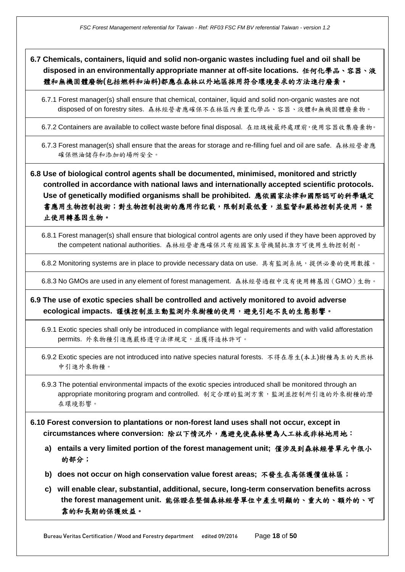**6.7 Chemicals, containers, liquid and solid non-organic wastes including fuel and oil shall be disposed in an environmentally appropriate manner at off-site locations.** 任何化學品、容器、液 體和無機固體廢物**(**包括燃料和油料**)**都應在森林以外地區採用符合環境要求的方法進行廢棄。

6.7.1 Forest manager(s) shall ensure that chemical, container, liquid and solid non-organic wastes are not disposed of on forestry sites. 森林經營者應確保不在林區內棄置化學品、容器、液體和無機固體廢棄物。

6.7.2 Containers are available to collect waste before final disposal. 在垃圾被最終處理前,使用容器收集廢棄物。

6.7.3 Forest manager(s) shall ensure that the areas for storage and re-filling fuel and oil are safe. 森林經營者應 確保燃油儲存和添加的場所安全。

**6.8 Use of biological control agents shall be documented, minimised, monitored and strictly controlled in accordance with national laws and internationally accepted scientific protocols. Use of genetically modified organisms shall be prohibited.** 應依國家法律和國際認可的科學議定 書應用生物控制技術;對生物控制技術的應用作記載,限制到最低量,並監督和嚴格控制其使用。禁 止使用轉基因生物。

6.8.1 Forest manager(s) shall ensure that biological control agents are only used if they have been approved by the competent national authorities. 森林經營者應確保只有經國家主管機關批准方可使用生物控制劑。

6.8.2 Monitoring systems are in place to provide necessary data on use. 具有監測系統,提供必要的使用數據。

6.8.3 No GMOs are used in any element of forest management. 森林經營過程中沒有使用轉基因(GMO)生物。

**6.9 The use of exotic species shall be controlled and actively monitored to avoid adverse ecological impacts.** 謹慎控制並主動監測外來樹種的使用,避免引起不良的生態影響。

6.9.1 Exotic species shall only be introduced in compliance with legal requirements and with valid afforestation permits. 外來物種引進應嚴格遵守法律規定,並獲得造林許可。

6.9.2 Exotic species are not introduced into native species natural forests. 不得在原生(本土)樹種為主的天然林 中引進外來物種。

6.9.3 The potential environmental impacts of the exotic species introduced shall be monitored through an appropriate monitoring program and controlled. 制定合理的監測方案,監測並控制所引進的外來樹種的潛 在環境影響。

- **6.10 Forest conversion to plantations or non-forest land uses shall not occur, except in circumstances where conversion:** 除以下情況外,應避免使森林變為人工林或非林地用地:
	- **a) entails a very limited portion of the forest management unit;** 僅涉及到森林經營單元中很小 的部分;
	- **b) does not occur on high conservation value forest areas;** 不發生在高保護價值林區;
	- **c) will enable clear, substantial, additional, secure, long-term conservation benefits across the forest management unit.** 能保證在整個森林經營單位中產生明顯的、重大的、額外的、可 靠的和長期的保護效益。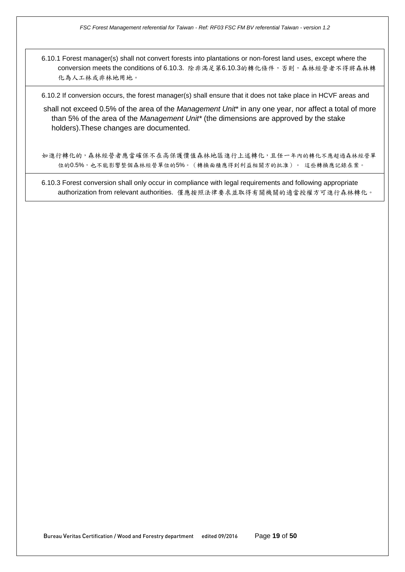6.10.1 Forest manager(s) shall not convert forests into plantations or non-forest land uses, except where the conversion meets the conditions of 6.10.3. 除非滿足第6.10.3的轉化條件,否則,森林經營者不得將森林轉 化為人工林或非林地用地。

6.10.2 If conversion occurs, the forest manager(s) shall ensure that it does not take place in HCVF areas and

shall not exceed 0.5% of the area of the *Management Unit*\* in any one year, nor affect a total of more than 5% of the area of the *Management Unit\** (the dimensions are approved by the stake holders).These changes are documented.

如進行轉化的,森林經營者應當確保不在高保護價值森林地區進行上述轉化,且任一年內的轉化不應超過森林經營單 位的0.5%,也不能影響整個森林經營單位的5%。(轉換面積應得到利益相關方的批准)。 這些轉換應記錄在案。

6.10.3 Forest conversion shall only occur in compliance with legal requirements and following appropriate authorization from relevant authorities. 僅應按照法律要求並取得有關機關的適當授權方可進行森林轉化。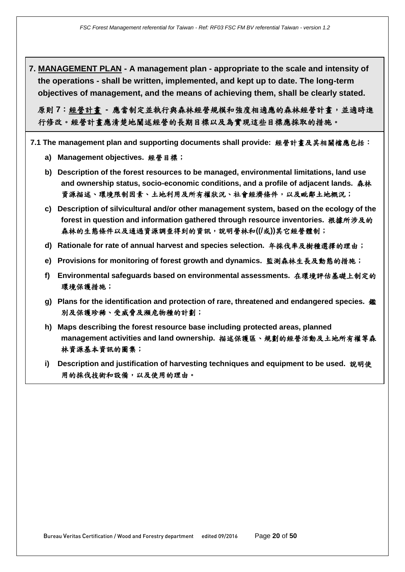**7. MANAGEMENT PLAN - A management plan - appropriate to the scale and intensity of the operations - shall be written, implemented, and kept up to date. The long-term objectives of management, and the means of achieving them, shall be clearly stated.**

原則 **7**:經營計畫 **-** 應當制定並執行與森林經營規模和強度相適應的森林經營計畫,並適時進 行修改。經營計畫應清楚地闡述經營的長期目標以及為實現這些目標應採取的措施。

- **7.1 The management plan and supporting documents shall provide:** 經營計畫及其相關檔應包括:
	- **a) Management objectives.** 經營目標;
	- **b) Description of the forest resources to be managed, environmental limitations, land use and ownership status, socio-economic conditions, and a profile of adjacent lands.** 森林 資源描述、環境限制因素、土地利用及所有權狀況、社會經濟條件,以及毗鄰土地概況;
	- **c) Description of silvicultural and/or other management system, based on the ecology of the forest in question and information gathered through resource inventories.** 根據所涉及的 森林的生態條件以及通過資源調查得到的資訊,說明營林和**((/**或**))**其它經營體制;
	- **d) Rationale for rate of annual harvest and species selection.** 年採伐率及樹種選擇的理由;
	- **e) Provisions for monitoring of forest growth and dynamics.** 監測森林生長及動態的措施;
	- **f) Environmental safeguards based on environmental assessments.** 在環境評估基礎上制定的 環境保護措施;
	- **g) Plans for the identification and protection of rare, threatened and endangered species.** 鑑 別及保護珍稀、受威脅及瀕危物種的計劃;
	- **h) Maps describing the forest resource base including protected areas, planned management activities and land ownership.** 描述保護區、規劃的經營活動及土地所有權等森 林資源基本資訊的圖集;
	- **i) Description and justification of harvesting techniques and equipment to be used.** 說明使 用的採伐技術和設備,以及使用的理由。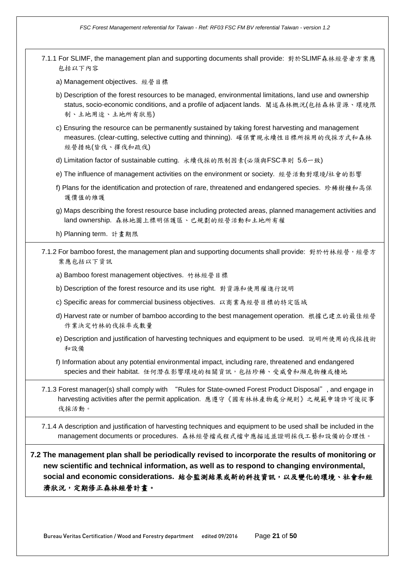*FSC Forest Management referential for Taiwan - Ref: RF03 FSC FM BV referential Taiwan - version 1.2*

7.1.1 For SLIMF, the management plan and supporting documents shall provide: 對於SLIMF森林經營者方案應 包括以下內容 a) Management objectives. 經營目標 b) Description of the forest resources to be managed, environmental limitations, land use and ownership status, socio-economic conditions, and a profile of adjacent lands. 闡述森林概況(包括森林資源、環境限 制、土地用途、土地所有狀態) c) Ensuring the resource can be permanently sustained by taking forest harvesting and management measures. (clear-cutting, selective cutting and thinning). 確保實現永續性目標所採用的伐採方式和森林 經營措施(皆伐、擇伐和疏伐) d) Limitation factor of sustainable cutting. 永續伐採的限制因素(必須與FSC準則 5.6一致) e) The influence of management activities on the environment or society. 經營活動對環境/社會的影響 f) Plans for the identification and protection of rare, threatened and endangered species. 珍稀樹種和高保 護價值的維護 g) Maps describing the forest resource base including protected areas, planned management activities and land ownership. 森林地圖上標明保護區、已規劃的經營活動和土地所有權 h) Planning term. 計畫期限 7.1.2 For bamboo forest, the management plan and supporting documents shall provide: 對於竹林經營,經營方 案應包括以下資訊 a) Bamboo forest management objectives. 竹林經營目標 b) Description of the forest resource and its use right. 對資源和使用權進行說明 c) Specific areas for commercial business objectives. 以商業為經營目標的特定區域 d) Harvest rate or number of bamboo according to the best management operation. 根據已建立的最佳經營 作業決定竹林的伐採率或數量 e) Description and justification of harvesting techniques and equipment to be used. 說明所使用的伐採技術 和設備 f) Information about any potential environmental impact, including rare, threatened and endangered species and their habitat. 任何潛在影響環境的相關資訊,包括珍稀、受威脅和瀕危物種或棲地 7.1.3 Forest manager(s) shall comply with "Rules for State-owned Forest Product Disposal", and engage in harvesting activities after the permit application. 應遵守《國有林林產物處分規則》之規範申請許可後從事 伐採活動。 7.1.4 A description and justification of harvesting techniques and equipment to be used shall be included in the management documents or procedures. 森林經營檔或程式檔中應描述並證明採伐工藝和設備的合理性。 **7.2 The management plan shall be periodically revised to incorporate the results of monitoring or new scientific and technical information, as well as to respond to changing environmental,**  social and economic considerations. 結合監測結果或新的科技資訊,以及變化的環境、社會和經 濟狀況,定期修正森林經營計畫。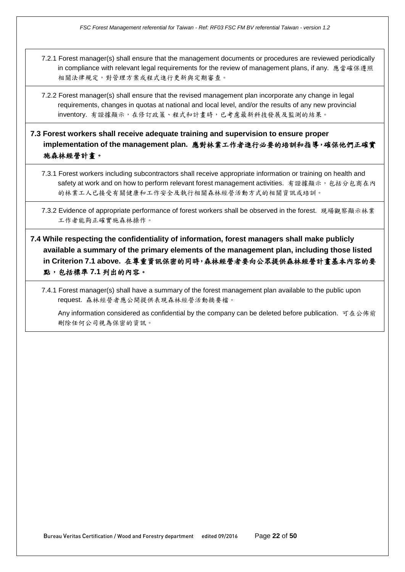- 7.2.1 Forest manager(s) shall ensure that the management documents or procedures are reviewed periodically in compliance with relevant legal requirements for the review of management plans, if any. 應當確保遵照 相關法律規定,對管理方案或程式進行更新與定期審查。
- 7.2.2 Forest manager(s) shall ensure that the revised management plan incorporate any change in legal requirements, changes in quotas at national and local level, and/or the results of any new provincial inventory. 有證據顯示,在修訂政策、程式和計畫時,已考慮最新科技發展及監測的結果。

## **7.3 Forest workers shall receive adequate training and supervision to ensure proper implementation of the management plan.** 應對林業工作者進行必要的培訓和指導,確保他們正確實 施森林經營計畫。

- 7.3.1 Forest workers including subcontractors shall receive appropriate information or training on health and safety at work and on how to perform relevant forest management activities. 有證據顯示,包括分包商在內 的林業工人已接受有關健康和工作安全及執行相關森林經營活動方式的相關資訊或培訓。
- 7.3.2 Evidence of appropriate performance of forest workers shall be observed in the forest. 現場觀察顯示林業 工作者能夠正確實施森林操作。
- **7.4 While respecting the confidentiality of information, forest managers shall make publicly available a summary of the primary elements of the management plan, including those listed in Criterion 7.1 above.** 在尊重資訊保密的同時,森林經營者要向公眾提供森林經營計畫基本內容的要 點,包括標準 **7.1** 列出的內容。
	- 7.4.1 Forest manager(s) shall have a summary of the forest management plan available to the public upon request. 森林經營者應公開提供表現森林經營活動摘要檔。

Any information considered as confidential by the company can be deleted before publication. 可在公佈前 刪除任何公司視為保密的資訊。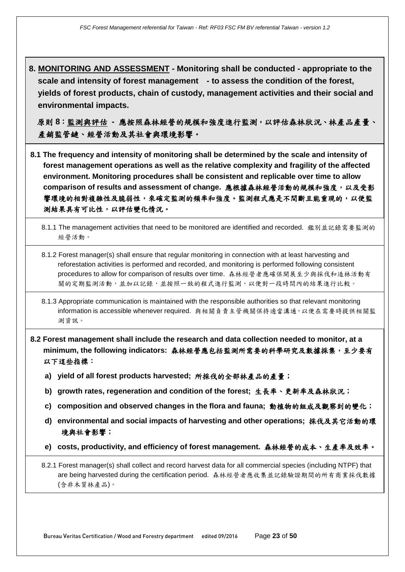**8. MONITORING AND ASSESSMENT - Monitoring shall be conducted - appropriate to the scale and intensity of forest management - to assess the condition of the forest, yields of forest products, chain of custody, management activities and their social and environmental impacts.**

原則 **8**:監測與評估 **-** 應按照森林經營的規模和強度進行監測,以評估森林狀況、林產品產量、 產銷監管鏈、經營活動及其社會與環境影響。

- **8.1 The frequency and intensity of monitoring shall be determined by the scale and intensity of forest management operations as well as the relative complexity and fragility of the affected environment. Monitoring procedures shall be consistent and replicable over time to allow comparison of results and assessment of change.** 應根據森林經營活動的規模和強度,以及受影 響環境的相對複雜性及脆弱性,來確定監測的頻率和強度。監測程式應是不間斷且能重現的,以便監 測結果具有可比性,以評估變化情況。
	- 8.1.1 The management activities that need to be monitored are identified and recorded. 鑑別並記錄需要監測的 經營活動。
	- 8.1.2 Forest manager(s) shall ensure that regular monitoring in connection with at least harvesting and reforestation activities is performed and recorded, and monitoring is performed following consistent procedures to allow for comparison of results over time. 森林經營者應確保開展至少與採伐和造林活動有 關的定期監測活動,並加以記錄,並按照一致的程式進行監測,以便對一段時間內的結果進行比較。
	- 8.1.3 Appropriate communication is maintained with the responsible authorities so that relevant monitoring information is accessible whenever required. 與相關負責主管機關保持適當溝通,以便在需要時提供相關監 測資訊。
- **8.2 Forest management shall include the research and data collection needed to monitor, at a minimum, the following indicators:** 森林經營應包括監測所需要的科學研究及數據採集,至少要有 以下這些指標:
	- **a) yield of all forest products harvested;** 所採伐的全部林產品的產量;
	- **b) growth rates, regeneration and condition of the forest;** 生長率、更新率及森林狀況;
	- **c) composition and observed changes in the flora and fauna;** 動植物的組成及觀察到的變化;
	- **d) environmental and social impacts of harvesting and other operations;** 採伐及其它活動的環 境與社會影響;
	- **e) costs, productivity, and efficiency of forest management.** 森林經營的成本、生產率及效率。

8.2.1 Forest manager(s) shall collect and record harvest data for all commercial species (including NTPF) that are being harvested during the certification period. 森林經營者應收集並記錄驗證期間的所有商業採伐數據 (含非木質林產品)。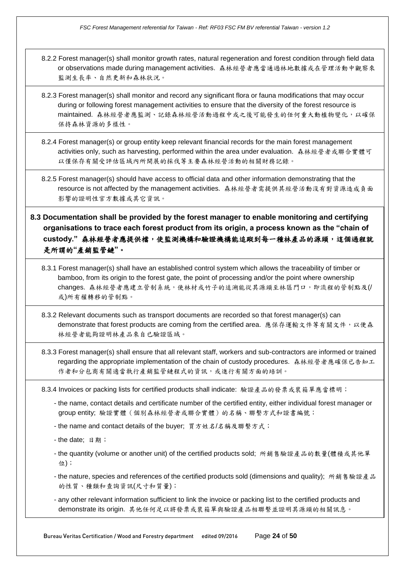- 8.2.2 Forest manager(s) shall monitor growth rates, natural regeneration and forest condition through field data or observations made during management activities. 森林經營者應當通過林地數據或在管理活動中觀察來 監測生長率、自然更新和森林狀況。
- 8.2.3 Forest manager(s) shall monitor and record any significant flora or fauna modifications that may occur during or following forest management activities to ensure that the diversity of the forest resource is maintained. 森林經營者應監測、記錄森林經營活動過程中或之後可能發生的任何重大動植物變化,以確保 保持森林資源的多樣性。
- 8.2.4 Forest manager(s) or group entity keep relevant financial records for the main forest management activities only, such as harvesting, performed within the area under evaluation. 森林經營者或聯合實體可 以僅保存有關受評估區域內所開展的採伐等主要森林經營活動的相關財務記錄。
- 8.2.5 Forest manager(s) should have access to official data and other information demonstrating that the resource is not affected by the management activities. 森林經營者需提供其經營活動沒有對資源造成負面 影響的證明性官方數據或其它資訊。
- **8.3 Documentation shall be provided by the forest manager to enable monitoring and certifying organisations to trace each forest product from its origin, a process known as the "chain of custody."** 森林經營者應提供檔,使監測機構和驗證機構能追蹤到每一種林產品的源頭,這個過程就 是所謂的**"**產銷監管鏈**"**。
	- 8.3.1 Forest manager(s) shall have an established control system which allows the traceability of timber or bamboo, from its origin to the forest gate, the point of processing and/or the point where ownership changes. 森林經營者應建立管制系統,使林材或竹子的追溯能從其源頭至林區門口,即流程的管制點及(/ 或)所有權轉移的管制點。
	- 8.3.2 Relevant documents such as transport documents are recorded so that forest manager(s) can demonstrate that forest products are coming from the certified area. 應保存運輸文件等有關文件,以便森 林經營者能夠證明林產品來自已驗證區域。
	- 8.3.3 Forest manager(s) shall ensure that all relevant staff, workers and sub-contractors are informed or trained regarding the appropriate implementation of the chain of custody procedures. 森林經營者應確保已告知工 作者和分包商有關適當執行產銷監管鏈程式的資訊,或進行有關方面的培訓。

8.3.4 Invoices or packing lists for certified products shall indicate: 驗證產品的發票或裝箱單應當標明;

- the name, contact details and certificate number of the certified entity, either individual forest manager or group entity; 驗證實體(個別森林經營者或聯合實體)的名稱、聯繫方式和證書編號;
- the name and contact details of the buyer; 買方姓名/名稱及聯繫方式;
- the date; 日期;
- the quantity (volume or another unit) of the certified products sold; 所銷售驗證產品的數量(體積或其他單 位);
- the nature, species and references of the certified products sold (dimensions and quality); 所銷售驗證產品 的性質、種類和查詢資訊(尺寸和質量);
- any other relevant information sufficient to link the invoice or packing list to the certified products and demonstrate its origin. 其他任何足以將發票或裝箱單與驗證產品相聯繫並證明其源頭的相關訊息。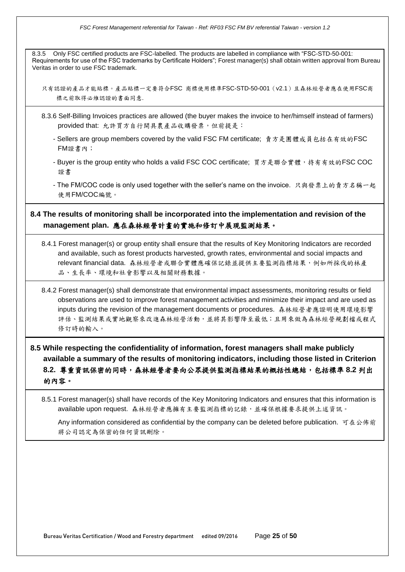*FSC Forest Management referential for Taiwan - Ref: RF03 FSC FM BV referential Taiwan - version 1.2*

8.3.5 Only FSC certified products are FSC-labelled. The products are labelled in compliance with "FSC-STD-50-001: Requirements for use of the FSC trademarks by Certificate Holders"; Forest manager(s) shall obtain written approval from Bureau Veritas in order to use FSC trademark.

只有認證的產品才能貼標。產品貼標一定要符合FSC 商標使用標準FSC-STD-50-001(v2.1)且森林經營者應在使用FSC商 標之前取得必維認證的書面同意.

- 8.3.6 Self-Billing Invoices practices are allowed (the buyer makes the invoice to her/himself instead of farmers) provided that: 允許買方自行開具農產品收購發票,但前提是:
	- Sellers are group members covered by the valid FSC FM certificate; 賣方是團體成員包括在有效的FSC FM證書內;
	- Buyer is the group entity who holds a valid FSC COC certificate; 買方是聯合實體,持有有效的FSC COC 證書
	- The FM/COC code is only used together with the seller's name on the invoice. 只與發票上的賣方名稱一起 使用FM/COC編號。

### **8.4 The results of monitoring shall be incorporated into the implementation and revision of the management plan.** 應在森林經營計畫的實施和修訂中展現監測結果。

- 8.4.1 Forest manager(s) or group entity shall ensure that the results of Key Monitoring Indicators are recorded and available, such as forest products harvested, growth rates, environmental and social impacts and relevant financial data. 森林經營者或聯合實體應確保記錄並提供主要監測指標結果,例如所採伐的林產 品、生長率、環境和社會影響以及相關財務數據。
- 8.4.2 Forest manager(s) shall demonstrate that environmental impact assessments, monitoring results or field observations are used to improve forest management activities and minimize their impact and are used as inputs during the revision of the management documents or procedures. 森林經營者應證明使用環境影響 評估、監測結果或實地觀察來改進森林經營活動,並將其影響降至最低;且用來做為森林經營規劃檔或程式 修訂時的輸入。

# **8.5 While respecting the confidentiality of information, forest managers shall make publicly available a summary of the results of monitoring indicators, including those listed in Criterion 8.2.** 尊重資訊保密的同時,森林經營者要向公眾提供監測指標結果的概括性總結,包括標準 **8.2** 列出 的內容。

8.5.1 Forest manager(s) shall have records of the Key Monitoring Indicators and ensures that this information is available upon request. 森林經營者應擁有主要監測指標的記錄,並確保根據要求提供上述資訊。

Any information considered as confidential by the company can be deleted before publication. 可在公佈前 將公司認定為保密的任何資訊刪除。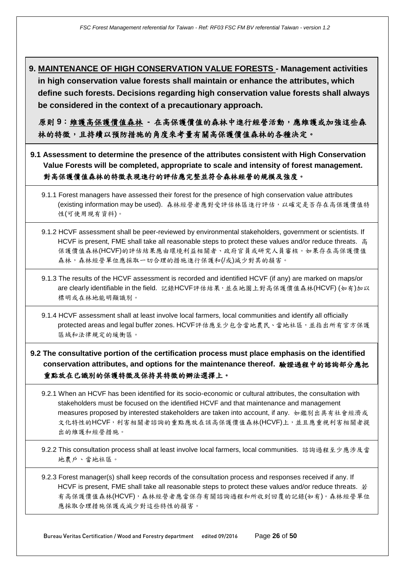**9. MAINTENANCE OF HIGH CONSERVATION VALUE FORESTS - Management activities in high conservation value forests shall maintain or enhance the attributes, which define such forests. Decisions regarding high conservation value forests shall always be considered in the context of a precautionary approach.**

原則 **9**:維護高保護價值森林 **-** 在高保護價值的森林中進行經營活動,應維護或加強這些森 林的特徵,且持續以預防措施的角度來考量有關高保護價值森林的各種決定。

- **9.1 Assessment to determine the presence of the attributes consistent with High Conservation Value Forests will be completed, appropriate to scale and intensity of forest management.**  對高保護價值森林的特徵表現進行的評估應完整並符合森林經營的規模及強度。
	- 9.1.1 Forest managers have assessed their forest for the presence of high conservation value attributes (existing information may be used). 森林經營者應對受評估林區進行評估, 以確定是否存在高保護價值特 性(可使用現有資料)。
	- 9.1.2 HCVF assessment shall be peer-reviewed by environmental stakeholders, government or scientists. If HCVF is present, FME shall take all reasonable steps to protect these values and/or reduce threats. 高 保護價值森林(HCVF)的評估結果應由環境利益相關者、政府官員或研究人員審核。如果存在高保護價值 森林,森林經營單位應採取一切合理的措施進行保護和(/或)減少對其的損害。
	- 9.1.3 The results of the HCVF assessment is recorded and identified HCVF (if any) are marked on maps/or are clearly identifiable in the field. 記錄HCVF評估結果,並在地圖上對高保護價值森林(HCVF) (如有)加以 標明或在林地能明顯識別。
	- 9.1.4 HCVF assessment shall at least involve local farmers, local communities and identify all officially protected areas and legal buffer zones. HCVF評估應至少包含當地農民、當地社區,並指出所有官方保護 區域和法律規定的緩衝區。
- **9.2 The consultative portion of the certification process must place emphasis on the identified conservation attributes, and options for the maintenance thereof.** 驗證過程中的諮詢部分應把 重點放在已識別的保護特徵及保持其特徵的辦法選擇上。
	- 9.2.1 When an HCVF has been identified for its socio-economic or cultural attributes, the consultation with stakeholders must be focused on the identified HCVF and that maintenance and management measures proposed by interested stakeholders are taken into account, if any. 如鑑別出具有社會經濟或 文化特性的HCVF,利害相關者諮詢的重點應放在該高保護價值森林(HCVF)上,並且應重視利害相關者提 出的維護和經營措施。
	- 9.2.2 This consultation process shall at least involve local farmers, local communities. 諮詢過程至少應涉及當 地農戶、當地社區。

9.2.3 Forest manager(s) shall keep records of the consultation process and responses received if any. If HCVF is present, FME shall take all reasonable steps to protect these values and/or reduce threats.  $\ddot{\ddot{z}}$ 有高保護價值森林(HCVF),森林經營者應當保存有關諮詢過程和所收到回覆的記錄(如有)。森林經營單位 應採取合理措施保護或減少對這些特性的損害。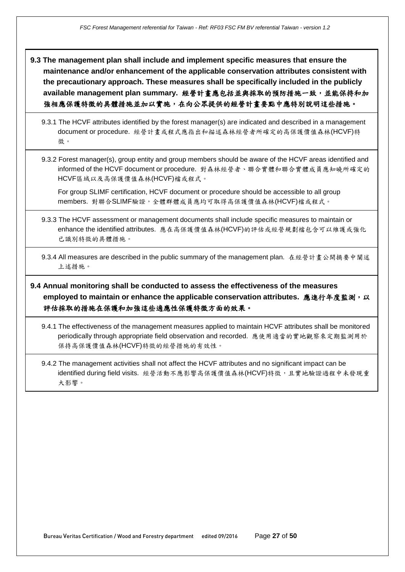**9.3 The management plan shall include and implement specific measures that ensure the maintenance and/or enhancement of the applicable conservation attributes consistent with the precautionary approach. These measures shall be specifically included in the publicly available management plan summary.** 經營計畫應包括並與採取的預防措施一致,並能保持和加 強相應保護特徵的具體措施並加以實施,在向公眾提供的經營計畫要點中應特別說明這些措施。

9.3.1 The HCVF attributes identified by the forest manager(s) are indicated and described in a management document or procedure. 經營計畫或程式應指出和描述森林經營者所確定的高保護價值森林(HCVF)特 徵。

9.3.2 Forest manager(s), group entity and group members should be aware of the HCVF areas identified and informed of the HCVF document or procedure. 對森林經營者、聯合實體和聯合實體成員應知曉所確定的 HCVF區域以及高保護價值森林(HCVF)檔或程式。

For group SLIMF certification, HCVF document or procedure should be accessible to all group members. 對聯合SLIMF驗證,全體群體成員應均可取得高保護價值森林(HCVF)檔或程式。

9.3.3 The HCVF assessment or management documents shall include specific measures to maintain or enhance the identified attributes. 應在高保護價值森林(HCVF)的評估或經營規劃檔包含可以維護或強化 已識別特徵的具體措施。

9.3.4 All measures are described in the public summary of the management plan. 在經營計畫公開摘要中闡述 上述措施。

**9.4 Annual monitoring shall be conducted to assess the effectiveness of the measures employed to maintain or enhance the applicable conservation attributes. 應進行年度監測, 以** 評估採取的措施在保護和加強這些適應性保護特徵方面的效果。

9.4.1 The effectiveness of the management measures applied to maintain HCVF attributes shall be monitored periodically through appropriate field observation and recorded. 應使用適當的實地觀察來定期監測用於 保持高保護價值森林(HCVF)特徵的經營措施的有效性。

9.4.2 The management activities shall not affect the HCVF attributes and no significant impact can be identified during field visits. 經營活動不應影響高保護價值森林(HCVF)特徵,且實地驗證過程中未發現重 大影響。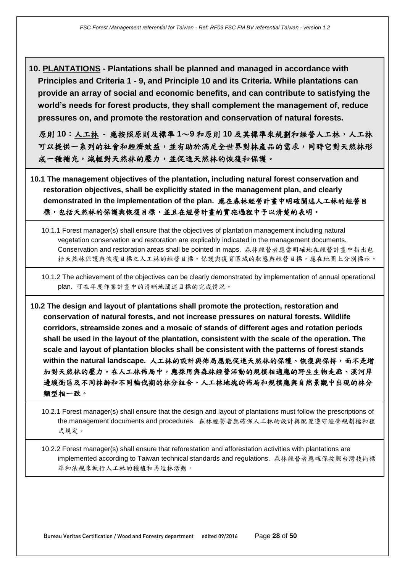**10. PLANTATIONS - Plantations shall be planned and managed in accordance with Principles and Criteria 1 - 9, and Principle 10 and its Criteria. While plantations can provide an array of social and economic benefits, and can contribute to satisfying the world's needs for forest products, they shall complement the management of, reduce pressures on, and promote the restoration and conservation of natural forests.**

原則 **10**:人工林 **-** 應按照原則及標準 **1**~**9** 和原則 **10** 及其標準來規劃和經營人工林,人工林 可以提供一系列的社會和經濟效益,並有助於滿足全世界對林產品的需求,同時它對天然林形 成一種補充,減輕對天然林的壓力,並促進天然林的恢復和保護。

- **10.1 The management objectives of the plantation, including natural forest conservation and restoration objectives, shall be explicitly stated in the management plan, and clearly demonstrated in the implementation of the plan.** 應在森林經營計畫中明確闡述人工林的經營目 標,包括天然林的保護與恢復目標,並且在經營計畫的實施過程中予以清楚的表明。
	- 10.1.1 Forest manager(s) shall ensure that the objectives of plantation management including natural vegetation conservation and restoration are explicably indicated in the management documents. Conservation and restoration areas shall be pointed in maps. 森林經營者應當明確地在經營計畫中指出包 括天然林保護與恢復目標公務局學學院等項責項的原則能與經營目標,應在地圖上分別標示

10.1.2 The achievement of the objectives can be clearly demonstrated by implementation of annual operational plan. 可在年度作業計畫中的清晰地闡述目標的完成情況。

**10.2 The design and layout of plantations shall promote the protection, restoration and conservation of natural forests, and not increase pressures on natural forests. Wildlife corridors, streamside zones and a mosaic of stands of different ages and rotation periods shall be used in the layout of the plantation, consistent with the scale of the operation. The scale and layout of plantation blocks shall be consistent with the patterns of forest stands within the natural landscape.** 人工林的設計與佈局應能促進天然林的保護、恢復與保持,而不是增 加對天然林的壓力。在人工林佈局中,應採用與森林經營活動的規模相適應的野生生物走廊、溪河岸 邊緩衝區及不同林齡和不同輪伐期的林分組合。人工林地塊的佈局和規模應與自然景觀中出現的林分 類型相一致。

10.2.1 Forest manager(s) shall ensure that the design and layout of plantations must follow the prescriptions of the management documents and procedures. 森林經營者應確保人工林的設計與配置遵守經營規劃檔和程 式規定。

10.2.2 Forest manager(s) shall ensure that reforestation and afforestation activities with plantations are implemented according to Taiwan technical standards and regulations. 森林經營者應確保按照台灣技術標 準和法規來執行人工林的種植和再造林活動。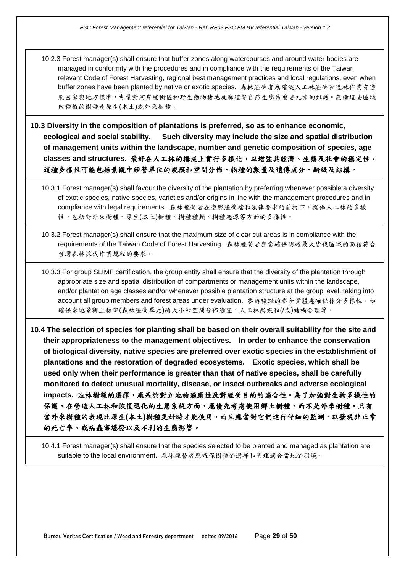10.2.3 Forest manager(s) shall ensure that buffer zones along watercourses and around water bodies are managed in conformity with the procedures and in compliance with the requirements of the Taiwan relevant Code of Forest Harvesting, regional best management practices and local regulations, even when buffer zones have been planted by native or exotic species. 森林經營者應確認人工林經營和造林作業有遵 照國家與地方標準,考量對河岸緩衝區和野生動物棲地及廊道等自然生態系重要元素的維護。無論這些區域 內種植的樹種是原生(本土)或外來樹種。

**10.3 Diversity in the composition of plantations is preferred, so as to enhance economic, ecological and social stability. Such diversity may include the size and spatial distribution of management units within the landscape, number and genetic composition of species, age classes and structures.** 最好在人工林的構成上實行多樣化,以增強其經濟、生態及社會的穩定性。 這種多樣性可能包括景觀中經營單位的規模和空間分佈、物種的數量及遺傳成分、齡級及結構。

- 10.3.1 Forest manager(s) shall favour the diversity of the plantation by preferring whenever possible a diversity of exotic species, native species, varieties and/or origins in line with the management procedures and in compliance with legal requirements. 森林經營者在遵照經營檔和法律要求的前提下,提倡人工林的多樣 性,包括對外來樹種、原生(本土)樹種、樹種種類、樹種起源等方面的多樣性。
- 10.3.2 Forest manager(s) shall ensure that the maximum size of clear cut areas is in compliance with the requirements of the Taiwan Code of Forest Harvesting. 森林經營者應當確保明確最大皆伐區域的面積符合 台灣森林採伐作業規程的要求。

10.3.3 For group SLIMF certification, the group entity shall ensure that the diversity of the plantation through appropriate size and spatial distribution of compartments or management units within the landscape, and/or plantation age classes and/or whenever possible plantation structure at the group level, taking into account all group members and forest areas under evaluation. 參與驗證的聯合實體應確保林分多樣性, 如 確保當地景觀上林班(森林經營單元)的大小和空間分佈適宜,人工林齡級和(/或)結構合理等。

**10.4 The selection of species for planting shall be based on their overall suitability for the site and their appropriateness to the management objectives. In order to enhance the conservation of biological diversity, native species are preferred over exotic species in the establishment of plantations and the restoration of degraded ecosystems. Exotic species, which shall be used only when their performance is greater than that of native species, shall be carefully monitored to detect unusual mortality, disease, or insect outbreaks and adverse ecological impacts.** 造林樹種的選擇,應基於對立地的適應性及對經營目的的適合性。為了加強對生物多樣性的 保護,在營造人工林和恢復退化的生態系統方面,應優先考慮使用鄉土樹種,而不是外來樹種。只有 當外來樹種的表現比原生**(**本土**)**樹種更好時才能使用,而且應當對它們進行仔細的監測,以發現非正常 的死亡率、或病蟲害爆發以及不利的生態影響。

10.4.1 Forest manager(s) shall ensure that the species selected to be planted and managed as plantation are suitable to the local environment. 森林經營者應確保樹種的選擇和管理適合當地的環境。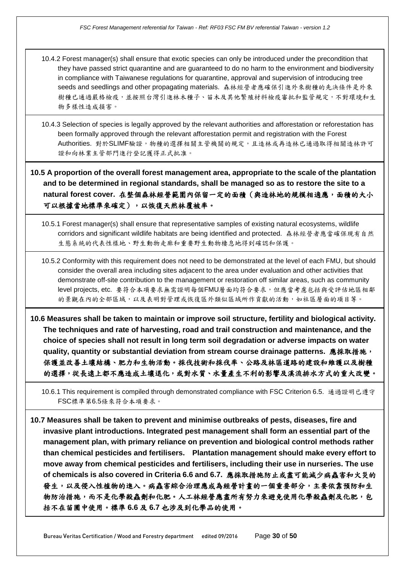10.4.2 Forest manager(s) shall ensure that exotic species can only be introduced under the precondition that they have passed strict quarantine and are guaranteed to do no harm to the environment and biodiversity in compliance with Taiwanese regulations for quarantine, approval and supervision of introducing tree seeds and seedlings and other propagating materials. 森林經營者應確保引進外來樹種的先決條件是外來 樹種已通過嚴格檢疫,並按照台灣引進林木種子、苗木及其他繁殖材料檢疫審批和監管規定,不對環境和生 物多樣性造成損害。

10.4.3 Selection of species is legally approved by the relevant authorities and afforestation or reforestation has been formally approved through the relevant afforestation permit and registration with the Forest Authorities. 對於SLIMF驗證, 物種的選擇相關主管機關的規定,且造林或再造林已通過取得相關造林許可 證和向林業主管部門進行登記獲得正式批准。

**10.5 A proportion of the overall forest management area, appropriate to the scale of the plantation and to be determined in regional standards, shall be managed so as to restore the site to a natural forest cover.** 在整個森林經營範圍內保留一定的面積(與造林地的規模相適應,面積的大小 可以根據當地標準來確定),以恢復天然林覆被率。

10.5.1 Forest manager(s) shall ensure that representative samples of existing natural ecosystems, wildlife corridors and significant wildlife habitats are being identified and protected. 森林經營者應當確保現有自然 生態系統的代表性樣地、野生動物走廊和重要野生動物棲息地得到確認和保護。

10.5.2 Conformity with this requirement does not need to be demonstrated at the level of each FMU, but should consider the overall area including sites adjacent to the area under evaluation and other activities that demonstrate off-site contribution to the management or restoration off similar areas, such as community level projects, etc. 要符合本項要求無需證明每個FMU層面均符合要求,但應當考慮包括與受評估地區相鄰 的景觀在內的全部區域,以及表明對管理或恢復區外類似區域所作貢獻的活動,如社區層面的項目等。

**10.6 Measures shall be taken to maintain or improve soil structure, fertility and biological activity. The techniques and rate of harvesting, road and trail construction and maintenance, and the choice of species shall not result in long term soil degradation or adverse impacts on water quality, quantity or substantial deviation from stream course drainage patterns.** 應採取措施, 保護並改善土壤結構、肥力和生物活動。採伐技術和採伐率、公路及林區道路的建設和維護以及樹種 的選擇,從長遠上都不應造成土壤退化,或對水質、水量產生不利的影響及溪流排水方式的重大改變。

10.6.1 This requirement is compiled through demonstrated compliance with FSC Criterion 6.5. 通過證明已遵守 FSC標準第6.5條來符合本項要求。

**10.7 Measures shall be taken to prevent and minimise outbreaks of pests, diseases, fire and invasive plant introductions. Integrated pest management shall form an essential part of the management plan, with primary reliance on prevention and biological control methods rather than chemical pesticides and fertilisers. Plantation management should make every effort to move away from chemical pesticides and fertilisers, including their use in nurseries. The use of chemicals is also covered in Criteria 6.6 and 6.7.** 應採取措施防止或盡可能減少病蟲害和火災的 發生,以及侵入性植物的進入。病蟲害綜合治理應成為經營計畫的一個重要部分,主要依靠預防和生 物防治措施,而不是化學殺蟲劑和化肥。人工林經營應盡所有努力來避免使用化學殺蟲劑及化肥,包 括不在苗圃中使用。標準 **6.6** 及 **6.7** 也涉及到化學品的使用。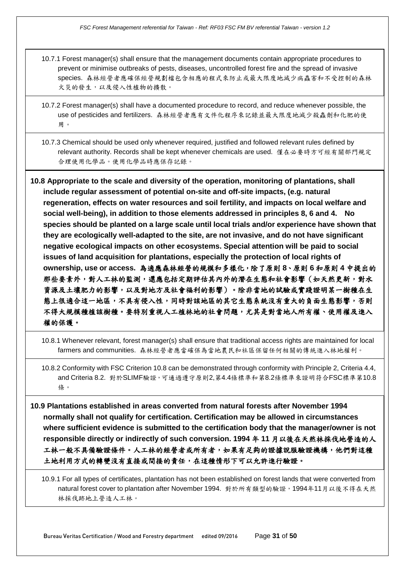- 10.7.1 Forest manager(s) shall ensure that the management documents contain appropriate procedures to prevent or minimise outbreaks of pests, diseases, uncontrolled forest fire and the spread of invasive species. 森林經營者應確保經營規劃檔包含相應的程式來防止或最大限度地減少病蟲害和不受控制的森林 火災的發生,以及侵入性植物的擴散。
- 10.7.2 Forest manager(s) shall have a documented procedure to record, and reduce whenever possible, the use of pesticides and fertilizers. 森林經營者應有文件化程序來記錄並最大限度地減少殺蟲劑和化肥的使 用。
- 10.7.3 Chemical should be used only whenever required, justified and followed relevant rules defined by relevant authority. Records shall be kept whenever chemicals are used. 僅在必要時方可經有關部門規定 合理使用化學品。使用化學品時應保存記錄。
- **10.8 Appropriate to the scale and diversity of the operation, monitoring of plantations, shall include regular assessment of potential on-site and off-site impacts, (e.g. natural regeneration, effects on water resources and soil fertility, and impacts on local welfare and social well-being), in addition to those elements addressed in principles 8, 6 and 4. No species should be planted on a large scale until local trials and/or experience have shown that they are ecologically well-adapted to the site, are not invasive, and do not have significant negative ecological impacts on other ecosystems. Special attention will be paid to social issues of land acquisition for plantations, especially the protection of local rights of ownership, use or access.** 為適應森林經營的規模和多樣化,除了原則 **8**、原則 **6** 和原則 **4** 中提出的 那些要素外,對人工林的監測,還應包括定期評估其內外的潛在生態和社會影響(如天然更新,對水 資源及土壤肥力的影響,以及對地方及社會福利的影響)。除非當地的試驗或實踐證明某一樹種在生 態上很適合這一地區,不具有侵入性,同時對該地區的其它生態系統沒有重大的負面生態影響,否則 不得大規模種植該樹種。要特別重視人工植林地的社會問題,尤其是對當地人所有權、使用權及進入 權的保護。
	- 10.8.1 Whenever relevant, forest manager(s) shall ensure that traditional access rights are maintained for local farmers and communities. 森林經營者應當確保為當地農民和社區保留任何相關的傳統進入林地權利。
	- 10.8.2 Conformity with FSC Criterion 10.8 can be demonstrated through conformity with Principle 2, Criteria 4.4, and Criteria 8.2. 對於SLIMF驗證,可通過遵守原則2,第4.4條標準和第8.2條標準來證明符合FSC標準第10.8 條。
- **10.9 Plantations established in areas converted from natural forests after November 1994 normally shall not qualify for certification. Certification may be allowed in circumstances where sufficient evidence is submitted to the certification body that the manager/owner is not responsible directly or indirectly of such conversion. 1994** 年 **11** 月以後在天然林採伐地營造的人 工林一般不具備驗證條件。人工林的經營者或所有者,如果有足夠的證據說服驗證機構,他們對這種 土地利用方式的轉變沒有直接或間接的責任,在這種情形下可以允許進行驗證。
	- 10.9.1 For all types of certificates, plantation has not been established on forest lands that were converted from natural forest cover to plantation after November 1994. 對於所有類型的驗證,1994年11月以後不得在天然 林採伐跡地上營造人工林。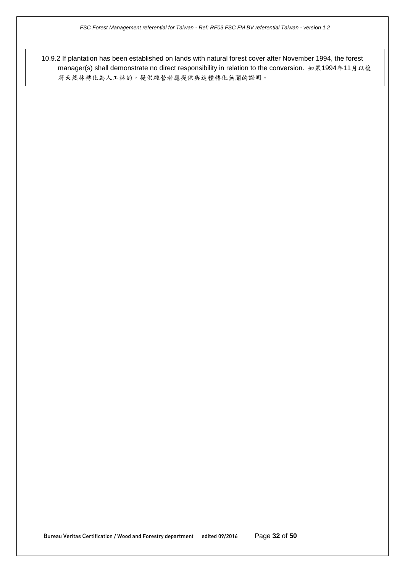10.9.2 If plantation has been established on lands with natural forest cover after November 1994, the forest manager(s) shall demonstrate no direct responsibility in relation to the conversion. 如果1994年11月以後 將天然林轉化為人工林的,提供經營者應提供與這種轉化無關的證明。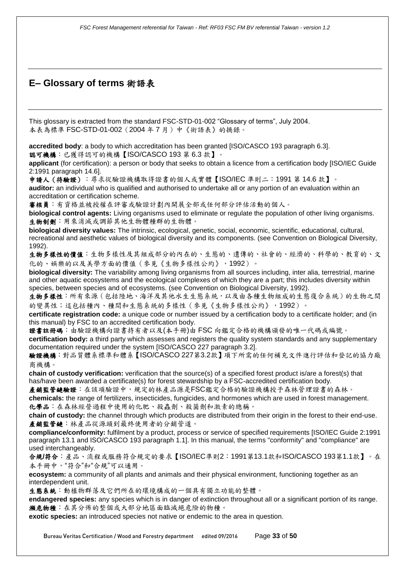# **E– Glossary of terms** 術語表

This glossary is extracted from the standard FSC-STD-01-002 "Glossary of terms", July 2004. 本表為標準 FSC-STD-01-002(2004 年 7 月)中《術語表》的摘錄。

**accredited body**: a body to which accreditation has been granted [ISO/CASCO 193 paragraph 6.3]. 認可機構:已獲得認可的機構【ISO/CASCO 193 第 6.3 款】。

**applicant** (for certification): a person or body that seeks to obtain a licence from a certification body [ISO/IEC Guide 2:1991 paragraph 14.6].

申請人(待驗證):尋求從驗證機構取得證書的個人或實體【ISO/IEC 準則二:1991 第 14.6 款】。 **auditor:** an individual who is qualified and authorised to undertake all or any portion of an evaluation within an accreditation or certification scheme.

審核員:有資格並被授權在評審或驗證計劃內開展全部或任何部分評估活動的個人。

**biological control agents:** Living organisms used to eliminate or regulate the population of other living organisms. 生物制劑:用來消滅或調節其他生物體種群的生物體。

**biological diversity values:** The intrinsic, ecological, genetic, social, economic, scientific, educational, cultural, recreational and aesthetic values of biological diversity and its components. (see Convention on Biological Diversity, 1992).

生物多樣性的價值:生物多樣性及其組成部分的內在的、生態的、遺傳的、社會的、經濟的、科學的、教育的、文 化的、娛樂的以及美學方面的價值(參見《生物多樣性公約》,1992)。

**biological diversity:** The variability among living organisms from all sources including, inter alia, terrestrial, marine and other aquatic ecosystems and the ecological complexes of which they are a part; this includes diversity within species, between species and of ecosystems. (see Convention on Biological Diversity, 1992).

生物多樣性:所有來源(包括陸地、海洋及其他水生生態系統,以及由各種生物組成的生態復合系統)的生物之間 的變異性;這包括種內、種間和生態系統的多樣性(參見《生物多樣性公約》,1992)。

**certificate registration code:** a unique code or number issued by a certification body to a certificate holder; and (in this manual) by FSC to an accredited certification body.

證書註冊碼:由驗證機構向證書持有者以及(本手冊)由 FSC 向鑑定合格的機構頒發的唯一代碼或編號。

**certification body:** a third party which assesses and registers the quality system standards and any supplementary documentation required under the system [ISO/CASCO 227 paragraph 3.2].

驗證機構:對品質體系標準和體系【ISO/CASCO 227第3.2款】項下所需的任何補充文件進行評估和登記的協力廠 商機構。

**chain of custody verification:** verification that the source(s) of a specified forest product is/are a forest(s) that has/have been awarded a certificate(s) for forest stewardship by a FSC-accredited certification body.

產銷監管鏈驗證:在該項驗證中,規定的林產品源是FSC鑑定合格的驗證機構授予森林管理證書的森林。 **chemicals:** the range of fertilizers, insecticides, fungicides, and hormones which are used in forest management. 化學品:在森林經營過程中使用的化肥、殺蟲劑、殺菌劑和激素的總稱。

**chain of custody:** the channel through which products are distributed from their origin in the forest to their end-use. 產銷監管鏈:林產品從源頭到最終使用者的分銷管道。

**compliance/conformity:** fulfilment by a product, process or service of specified requirements [ISO/IEC Guide 2:1991 paragraph 13.1 and ISO/CASCO 193 paragraph 1.1]. In this manual, the terms "conformity" and "compliance" are used interchangeably.

合規**/**符合:產品、流程或服務符合規定的要求【ISO/IEC準則2:1991第13.1款和ISO/CASCO 193第1.1款】。在 本手冊中,"符合"和"合規"可以通用。

**ecosystem:** a community of all plants and animals and their physical environment, functioning together as an interdependent unit.

生態系統:動植物群落及它們所在的環境構成的一個具有獨立功能的整體。

**endangered species:** any species which is in danger of extinction throughout all or a significant portion of its range. 瀕危物種:在其分佈的整個或大部分地區面臨滅絕危險的物種。

**exotic species:** an introduced species not native or endemic to the area in question.

Bureau Veritas Certification / Wood and Forestry department edited 09/2016 Page **33** of **50**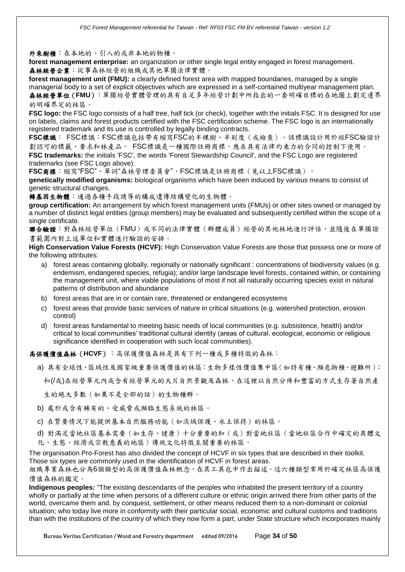#### 外來樹種:在本地的、引入的或非本地的物種。

**forest management enterprise:** an organization or other single legal entity engaged in forest management. 森林經營企業:從事森林經營的組織或其他單獨法律實體。

**forest management unit (FMU):** a clearly defined forest area with mapped boundaries, managed by a single managerial body to a set of explicit objectives which are expressed in a self-contained multiyear management plan. 森林經營單位(**FMU**):單獨經營實體管理的具有自足多年經營計劃中所指出的一套明確目標的在地圖上劃定邊界

#### 的明確界定的林區。

**FSC logo:** the FSC logo consists of a half tree, half tick (or check), together with the initials FSC. It is designed for use on labels, claims and forest products certified with the FSC certification scheme. The FSC logo is an internationally registered trademark and its use is controlled by legally binding contracts.

**FSC**標識: FSC標識:FSC標識包括帶有縮寫FSC的半棵樹、半刻度(或檢查)。該標識設計用於經FSC驗證計 劃認可的標籤、要求和林產品。 FSC標識是一種國際註冊商標,應在具有法律約束力的合同的控制下使用。 **FSC trademarks:** the initials 'FSC', the words 'Forest Stewardship Council', and the FSC Logo are registered trademarks (see FSC Logo above).

**FSC**商標:縮寫"FSC"、單詞"森林管理委員會",FSC標識是註冊商標(見以上FSC標識)。

**genetically modified organisms:** biological organisms which have been induced by various means to consist of genetic structural changes.

轉基因生物體:通過各種手段誘導的構成遺傳結構變化的生物體。

**group certification:** An arrangement by which forest management units (FMUs) or other sites owned or managed by a number of distinct legal entities (group members) may be evaluated and subsequently certified within the scope of a single certificate.

聯合驗證:對森林經營單位(FMU)或不同的法律實體(群體成員)經營的其他林地進行評估,並隨後在單獨證 書範圍內對上述單位和實體進行驗證的安排。

**High Conservation Value Forests (HCVF):** High Conservation Value Forests are those that possess one or more of the following attributes:

- a) forest areas containing globally, regionally or nationally significant : concentrations of biodiversity values (e.g. endemism, endangered species, refugia); and/or large landscape level forests, contained within, or containing the management unit, where viable populations of most if not all naturally occurring species exist in natural patterns of distribution and abundance
- b) forest areas that are in or contain rare, threatened or endangered ecosystems
- c) forest areas that provide basic services of nature in critical situations (e.g. watershed protection, erosion control)
- d) forest areas fundamental to meeting basic needs of local communities (e.g. subsistence, health) and/or critical to local communities' traditional cultural identity (areas of cultural, ecological, economic or religious significance identified in cooperation with such local communities).

高保護價值森林(**HCVF**):高保護價值森林是具有下列一種或多種特徵的森林:

- a) 具有全球性、區域性及國家級重要保護價值的林區:生物多樣性價值集中區(如特有種、瀕危物種、避難所);
	- 和(/或)在經營單元內或含有經營單元的大片自然景觀及森林,在這裡以自然分佈和豐富的方式生存著自然產

生的絕大多數(如果不是全部的話)的生物種群。

- b) 處於或含有稀有的、受威脅或瀕臨生態系統的林區。
- c) 在緊要情況下能提供基本自然服務功能(如流域保護、水土保持)的林區。
- d) 對滿足當地社區基本需要(如生存、健康)十分重要的和(或)對當地社區(當地社區合作中確定的具體文 化、生態、經濟或宗教意義的地區)傳統文化特徵至關重要的林區。

The organisation Pro-Forest has also divided the concept of HCVF in six types that are described in their toolkit. Those six types are commonly used in the identification of HCVF in forest areas.

組織專業森林也分為6個類型的高保護價值森林概念,在其工具包中作出描述。這六種類型常用於確定林區高保護 價值森林的鑑定。

**Indigenous peoples:** "The existing descendants of the peoples who inhabited the present territory of a country wholly or partially at the time when persons of a different culture or ethnic origin arrived there from other parts of the world, overcame them and, by conquest, settlement, or other means reduced them to a non-dominant or colonial situation; who today live more in conformity with their particular social, economic and cultural customs and traditions than with the institutions of the country of which they now form a part, under State structure which incorporates mainly

Bureau Veritas Certification / Wood and Forestry department edited 09/2016 Page **34** of **50**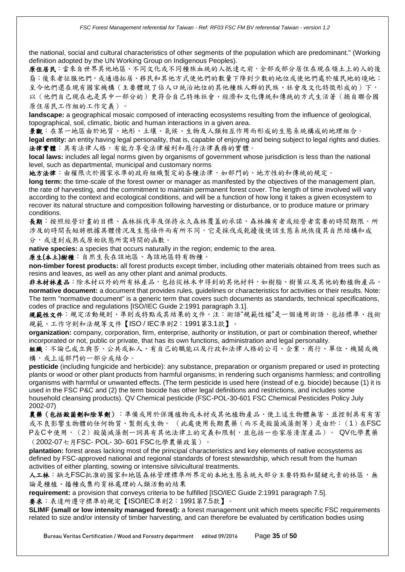the national, social and cultural characteristics of other segments of the population which are predominant." (Working definition adopted by the UN Working Group on Indigenous Peoples).

原住居民:當來自世界其他地區、不同文化或不同種族血統的人抵達之前,全部或部分居住在現在領土上的人的後 裔;後來者征服他們,或通過拓居、移民和其他方式使他們的數量下降到少數的地位或使他們處於殖民地的境地; 至今他們還在現有國家機構(主要體現了佔人口統治地位的其他種族人群的民族、社會及文化特徵形成的)下, 以(他們自己現在也是其中一部分的)更符合自己特殊社會、經濟和文化傳統和傳統的方式生活著(摘自聯合國 原住居民工作組的工作定義)。

**landscape:** a geographical mosaic composed of interacting ecosystems resulting from the influence of geological, topographical, soil, climatic, biotic and human interactions in a given area.

景觀:在某一地區由於地質、地形、土壤、氣候、生物及人類相互作用而形成的生態系統構成的地理組合。 legal entity: an entity having legal personality, that is, capable of enjoying and being subject to legal rights and duties. 法律實體:具有法律人格,有能力享受法律權利和履行法律義務的實體。

**local laws:** includes all legal norms given by organisms of government whose jurisdiction is less than the national level, such as departmental, municipal and customary norms

地方法律:由權限次於國家水準的政府組織製定的各種法律,如部門的、地方性的和傳統的規定。

**long term:** the time-scale of the forest owner or manager as manifested by the objectives of the management plan, the rate of harvesting, and the commitment to maintain permanent forest cover. The length of time involved will vary according to the context and ecological conditions, and will be a function of how long it takes a given ecosystem to recover its natural structure and composition following harvesting or disturbance, or to produce mature or primary conditions.

長期:按照經營計畫的目標、森林採伐率及保持永久森林覆蓋的承諾,森林擁有者或經營者需要的時間期限。所 涉及的時間長短將根據具體情況及生態條件而有所不同,它是採伐或乾擾後使該生態系統恢復其自然結構和成 分,或達到成熟或原始狀態所需時間的函數。

**native species:** a species that occurs naturally in the region; endemic to the area.

原生**(**本土**)**樹種:自然生長在該地區、為該地區特有物種。

**non-timber forest products:** all forest products except timber, including other materials obtained from trees such as resins and leaves, as well as any other plant and animal products.

非木材林產品:除木材以外的所有林產品,包括從林木中得到的其他材料,如樹脂、樹葉以及其他的動植物產品。 **normative document:** a document that provides rules, guidelines or characteristics for activities or their results. Note: The term "normative document" is a generic term that covers such documents as standards, technical specifications, codes of practice and regulations [ISO/IEC Guide 2:1991 paragraph 3.1].

規範性文件:規定活動規則、準則或特點或其結果的文件。注:術語"規範性檔"是一個通用術語,包括標準、技術 規範、工作守則和法規等文件【ISO / IEC準則2:1991第3.1款】。

**organization:** company, corporation, firm, enterprise, authority or institution, or part or combination thereof, whether incorporated or not, public or private, that has its own functions, administration and legal personality.

組織:不論已成立與否、公共或私人、有自己的職能以及行政和法律人格的公司、企業、商行、單位、機關或機 構,或上述部門的一部分或結合。

**pesticide** (including fungicide and herbicide): any substance, preparation or organism prepared or used in protecting plants or wood or other plant products from harmful organisms; in rendering such organisms harmless; and controlling organisms with harmful or unwanted effects. (The term pesticide is used here (instead of e.g. biocide) because (1) it is used in the FSC P&C and (2) the term biocide has other legal definitions and restrictions, and includes some household cleansing products). QV Chemical pesticide (FSC-POL-30-601 FSC Chemical Pesticides Policy July 2002-07)

農藥(包括殺菌劑和除草劑):準備或用於保護植物或木材或其他植物產品、使上述生物體無害、並控制具有有害 或不良影響生物體的任何物質、製劑或生物。 (此處使用長期農藥(而不是殺菌滅藻劑等)是由於:(1)在FSC P&C中使用,(2)殺菌滅藻劑一詞具有其他法律上的定義和限制,並包括一些家居清潔產品)。 QV化學農藥 (2002-07七月FSC- POL- 30- 601 FSC化學農藥政策)。

**plantation:** forest areas lacking most of the principal characteristics and key elements of native ecosystems as defined by FSC-approved national and regional standards of forest stewardship, which result from the human activities of either planting, sowing or intensive silvicultural treatments.

人工林:缺乏FSC批准的國家和地區森林管理標準所界定的本地生態系統大部分主要特點和關鍵元素的林區,無 論是種植、播種或集約育林處理的人類活動的結果

**requirement:** a provision that conveys criteria to be fulfilled [ISO/IEC Guide 2:1991 paragraph 7.5].

要求:表達所遵守標準的規定【ISO/IEC準則2:1991第7.5款】。

**SLIMF (small or low intensity managed forest):** a forest management unit which meets specific FSC requirements related to size and/or intensity of timber harvesting, and can therefore be evaluated by certification bodies using

Bureau Veritas Certification / Wood and Forestry department edited 09/2016 Page **35** of **50**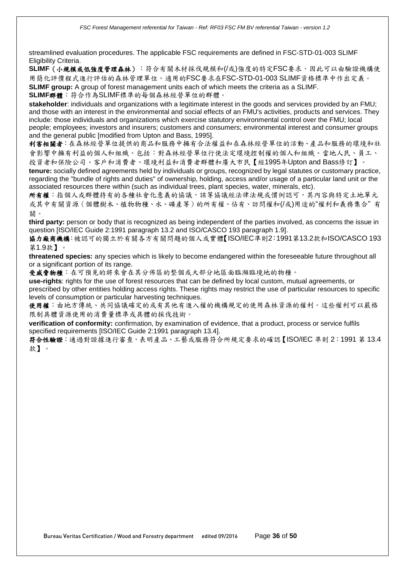streamlined evaluation procedures. The applicable FSC requirements are defined in FSC-STD-01-003 SLIMF Eligibility Criteria.

**SLIMF**(小規模或低強度管理森林):符合有關木材採伐規模和(/或)強度的特定FSC要求,因此可以由驗證機構使 用簡化評價程式進行評估的森林管理單位。適用的FSC要求在FSC-STD-01-003 SLIMF資格標準中作出定義。 **SLIMF group:** A group of forest management units each of which meets the criteria as a SLIMF.

**SLIMF**群體:符合作為SLIMF標準的每個森林經營單位的群體。

**stakeholder**: individuals and organizations with a legitimate interest in the goods and services provided by an FMU; and those with an interest in the environmental and social effects of an FMU's activities, products and services. They include: those individuals and organizations which exercise statutory environmental control over the FMU; local people; employees; investors and insurers; customers and consumers; environmental interest and consumer groups and the general public [modified from Upton and Bass, 1995].

利害相關者:在森林經營單位提供的商品和服務中擁有合法權益和在森林經營單位的活動、產品和服務的環境和社 會影響中擁有利益的個人和組織。包括:對森林經營單位行使法定環境控制權的個人和組織、當地人民、員工、 投資者和保險公司、客戶和消費者、環境利益和消費者群體和廣大市民【經1995年Upton and Bass修訂】。

**tenure:** socially defined agreements held by individuals or groups, recognized by legal statutes or customary practice, regarding the "bundle of rights and duties" of ownership, holding, access and/or usage of a particular land unit or the associated resources there within (such as individual trees, plant species, water, minerals, etc).

所有權:指個人或群體持有的各種社會化意義的協議,該等協議經法律法規或慣例認可,其內容與特定土地單元 或其中有關資源(個體樹木、植物物種、水、礦產等)的所有權、佔有、訪問權和(/或)用途的"權利和義務集合" 有 關。

**third party:** person or body that is recognized as being independent of the parties involved, as concerns the issue in question [ISO/IEC Guide 2:1991 paragraph 13.2 and ISO/CASCO 193 paragraph 1.9].

協力廠商機構:被認可的獨立於有關各方有關問題的個人或實體【ISO/IEC準則2:1991第13.2款和ISO/CASCO 193 第1.9款】。

**threatened species:** any species which is likely to become endangered within the foreseeable future throughout all or a significant portion of its range.

受威脅物種:在可預見的將來會在其分佈區的整個或大部分地區面臨瀕臨境地的物種。

**use-rights**: rights for the use of forest resources that can be defined by local custom, mutual agreements, or prescribed by other entities holding access rights. These rights may restrict the use of particular resources to specific levels of consumption or particular harvesting techniques.

使用權:由地方傳統、共同協議確定的或有其他有進入權的機構規定的使用森林資源的權利。這些權利可以嚴格 限制具體資源使用的消費量標準或具體的採伐技術。

**verification of conformity:** confirmation, by examination of evidence, that a product, process or service fulfils specified requirements [ISO/IEC Guide 2:1991 paragraph 13.4].

符合性驗證:通過對證據進行審查,表明產品、工藝或服務符合所規定要求的確認【ISO/IEC 準則 2:1991 第 13.4 款】。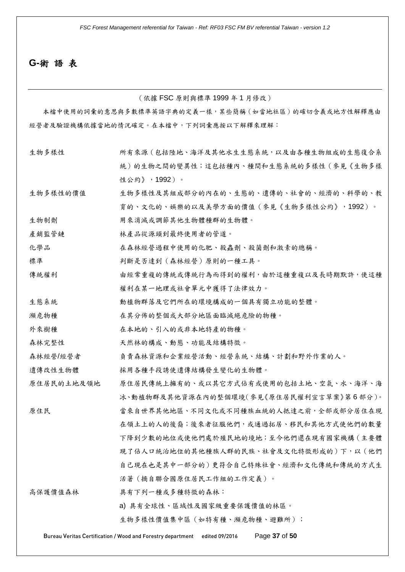## **G-**術 語 表

(依據 FSC 原則與標準 1999 年 1 月修改)

本檔中使用的詞彙的意思與多數標準英語字典的定義一樣,某些簡稱(如當地社區)的確切含義或地方性解釋應由 經營者及驗證機構依據當地的情況確定。在本檔中,下列詞彙應按以下解釋來理解:

| 生物多樣性      | 所有來源 (包括陸地、海洋及其他水生生態系統, 以及由各種生物組成的生態復合系 |
|------------|-----------------------------------------|
|            | 統)的生物之間的變異性;這包括種內、種間和生態系統的多樣性(參見《生物多樣   |
|            | 性公約》, 1992)。                            |
| 生物多樣性的價值   | 生物多樣性及其組成部分的內在的、生態的、遺傳的、社會的、經濟的、科學的、教   |
|            | 育的、文化的、娱樂的以及美學方面的價值(參見《生物多樣性公約》,1992)。  |
| 生物制劑       | 用來消滅或調節其他生物體種群的生物體。                     |
| 產銷監管鏈      | 林產品從源頭到最終使用者的管道。                        |
| 化學品        | 在森林經營過程中使用的化肥、殺蟲劑、殺菌劑和激素的總稱。            |
| 標準         | 判斷是否達到(森林經營)原則的一種工具。                    |
| 傳統權利       | 由經常重複的傳統或傳統行為而得到的權利,由於這種重複以及長時期默許,使這種   |
|            | 權利在某一地理或社會單元中獲得了法律效力。                   |
| 生態系統       | 動植物群落及它們所在的環境構成的一個具有獨立功能的整體。            |
| 瀕危物種       | 在其分佈的整個或大部分地區面臨滅絕危險的物種。                 |
| 外來樹種       | 在本地的、引入的或非本地特產的物種。                      |
| 森林完整性      | 天然林的構成、動態、功能及結構特徵。                      |
| 森林經營/經營者   | 負責森林資源和企業經營活動、經營系統、結構、計劃和野外作業的人。        |
| 遺傳改性生物體    | 採用各種手段誘使遺傳結構發生變化的生物體。                   |
| 原住居民的土地及領地 | 原住居民傳統上擁有的、或以其它方式佔有或使用的包括土地、空氣、水、海洋、海   |
|            | 冰、動植物群及其他資源在內的整個環境(參見《原住居民權利宣言草案》第6部分)。 |
| 原住民        | 當來自世界其他地區、不同文化或不同種族血統的人抵達之前,全部或部分居住在現   |
|            | 在領土上的人的後裔;後來者征服他們,或通過拓居、移民和其他方式使他們的數量   |
|            | 下降到少數的地位或使他們處於殖民地的境地;至今他們還在現有國家機構(主要體   |
|            | 現了佔人口統治地位的其他種族人群的民族、社會及文化特徵形成的)下,以(他們   |
|            | 自己現在也是其中一部分的)更符合自己特殊社會、經濟和文化傳統和傳統的方式生   |
|            | 活著(摘自聯合國原住居民工作組的工作定義)。                  |
| 高保護價值森林    | 具有下列一種或多種特徵的森林:                         |
|            | a) 具有全球性、區域性及國家級重要保護價值的林區。              |
|            | 生物多樣性價值集中區(如特有種、瀕危物種、避難所);              |
|            |                                         |

Bureau Veritas Certification / Wood and Forestry department edited 09/2016 Page **37** of **50**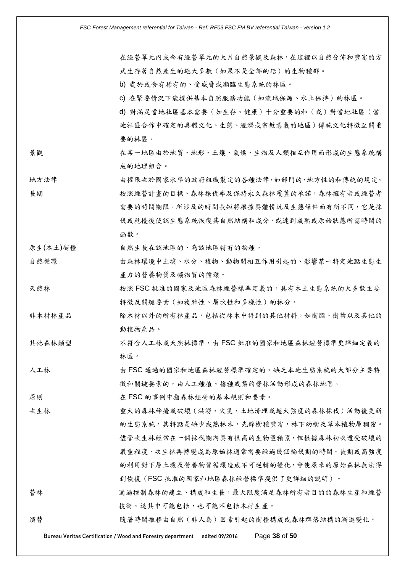在經營單元內或含有經營單元的大片自然景觀及森林,在這裡以自然分佈和豐富的方 式生存著自然產生的絕大多數(如果不是全部的話)的生物種群。

b) 處於或含有稀有的、受威脅或瀕臨生態系統的林區。

c) 在緊要情況下能提供基本自然服務功能(如流域保護、水土保持)的林區。

d) 對滿足當地社區基本需要(如生存、健康)十分重要的和(或)對當地社區(當 地社區合作中確定的具體文化、生態、經濟或宗教意義的地區)傳統文化特徵至關重 要的林區。

- 景觀 在某一地區由於地質、地形、土壤、氣候、生物及人類相互作用而形成的生態系統構 成的地理組合。
- 地方法律 由權限次於國家水準的政府組織製定的各種法律,如部門的、地方性的和傳統的規定。 長期 按照經營計畫的目標、森林採伐率及保持永久森林覆蓋的承諾,森林擁有者或經營者 需要的時間期限。所涉及的時間長短將根據具體情況及生態條件而有所不同,它是採 伐或乾擾後使該生態系統恢復其自然結構和成分,或達到成熟或原始狀態所需時間的 函數。

原生(本土)樹種 自然生長在該地區的、為該地區特有的物種。

- 自然循環 由森林環境中土壤、水分、植物、動物間相互作用引起的、影響某一特定地點生態生 產力的營養物質及礦物質的循環。
- 天然林 **12 2000 天然 FSC 批准的國家及地區森林經營標準定義的,具有本土生態系統的大多數主要** 特徵及關鍵要素(如複雜性、層次性和多樣性)的林分。
- 非木材林產品 除木材以外的所有林產品,包括從林木中得到的其他材料,如樹脂、樹葉以及其他的 動植物產品。
- 其他森林類型 不符合人工林或天然林標準,由 FSC 批准的國家和地區森林經營標準更詳細定義的 林區。
- 人工林 由 FSC 通過的國家和地區森林經營標準確定的、缺乏本地生態系統的大部分主要特 徵和關鍵要素的,由人工種植、播種或集約營林活動形成的森林地區。

原則 **ESC 的事例中指森林經營的基本規則和要素**。

- 次生林 重大的森林幹擾或破壞(洪澇、火災、土地清理或超大強度的森林採伐)活動後更新 的生態系統,其特點是缺少成熟林木,先鋒樹種豐富,林下幼樹及草本植物層稠密。 儘管次生林經常在一個採伐期內具有很高的生物量積累,但根據森林初次遭受破壞的 嚴重程度,次生林再轉變成為原始林通常需要經過幾個輪伐期的時間。長期或高強度 的利用對下層土壤及營養物質循環造成不可逆轉的變化,會使原來的原始森林無法得 到恢復(FSC 批准的國家和地區森林經營標準提供了更詳細的說明)。
- 營林 到本 通過控制森林的建立、構成和生長,最大限度滿足森林所有者目的的森林生產和經營 技術。這其中可能包括,也可能不包括木材生產。
- 演替 隨著時間推移由自然(非人為)因素引起的樹種構成或森林群落結構的漸進變化。

Bureau Veritas Certification / Wood and Forestry department edited 09/2016 Page **38** of **50**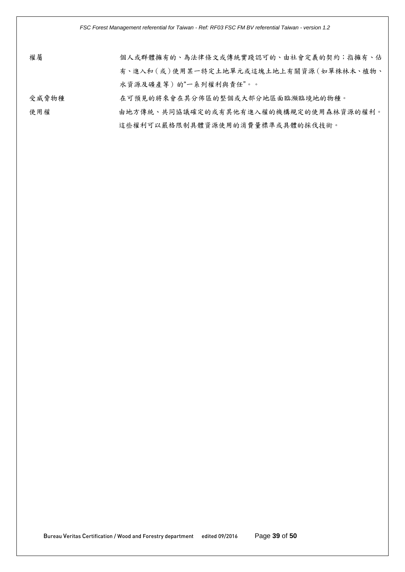| 權屬    | 個人或群體擁有的、為法律條文或傳統實踐認可的、由社會定義的契約;指擁有、佔  |
|-------|----------------------------------------|
|       | 有、進入和(或)使用某一特定土地單元或這塊土地上有關資源(如單株林木、植物、 |
|       | 水資源及礦產等)的"一系列權利與責任"。。                  |
| 受威脅物種 | 在可預見的將來會在其分佈區的整個或大部分地區面臨瀕臨境地的物種。       |

使用權 由地方傳統、共同協議確定的或有其他有進入權的機構規定的使用森林資源的權利。

#### 這些權利可以嚴格限制具體資源使用的消費量標準或具體的採伐技術。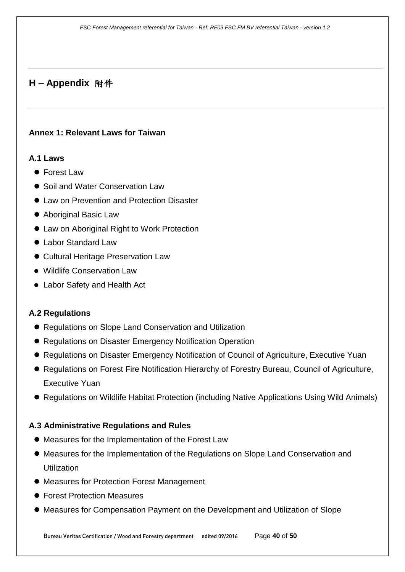# **H – Appendix** 附件

#### <span id="page-39-0"></span>**Annex 1: Relevant Laws for Taiwan**

#### **A.1 Laws**

- Forest Law
- Soil and Water Conservation Law
- $\bullet$  **Law on Prevention and Protection Disaster**
- Aboriginal Basic Law
- Law on Aboriginal Right to Work Protection
- Labor Standard Law
- Cultural Heritage Preservation Law
- Wildlife Conservation Law
- Labor Safety and Health Act

## **A.2 Regulations**

- Regulations on Slope Land Conservation and Utilization
- Regulations on Disaster Emergency Notification Operation
- Regulations on Disaster Emergency Notification of Council of Agriculture, Executive Yuan
- Regulations on Forest Fire Notification Hierarchy of Forestry Bureau, Council of Agriculture, Executive Yuan
- Regulations on Wildlife Habitat Protection (including Native Applications Using Wild Animals)

## **A.3 Administrative Regulations and Rules**

- Measures for the Implementation of the Forest Law
- Measures for the Implementation of the Regulations on Slope Land Conservation and **Utilization**
- Measures for Protection Forest Management
- Forest Protection Measures
- Measures for Compensation Payment on the Development and Utilization of Slope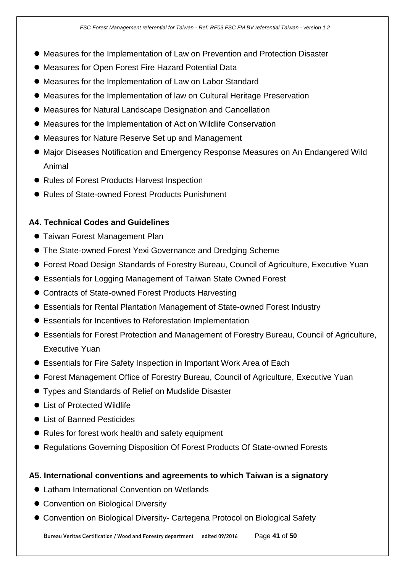- Measures for the Implementation of Law on Prevention and Protection Disaster
- Measures for Open Forest Fire Hazard Potential Data
- Measures for the Implementation of Law on Labor Standard
- Measures for the Implementation of law on Cultural Heritage Preservation
- Measures for Natural Landscape Designation and Cancellation
- Measures for the Implementation of Act on Wildlife Conservation
- Measures for Nature Reserve Set up and Management
- Major Diseases Notification and Emergency Response Measures on An Endangered Wild Animal
- Rules of Forest Products Harvest Inspection
- Rules of State-owned Forest Products Punishment

### **A4. Technical Codes and Guidelines**

- Taiwan Forest Management Plan
- The State-owned Forest Yexi Governance and Dredging Scheme
- Forest Road Design Standards of Forestry Bureau, Council of Agriculture, Executive Yuan
- Essentials for Logging Management of Taiwan State Owned Forest
- Contracts of State-owned Forest Products Harvesting
- Essentials for Rental Plantation Management of State-owned Forest Industry
- Essentials for Incentives to Reforestation Implementation
- Essentials for Forest Protection and Management of Forestry Bureau, Council of Agriculture, Executive Yuan
- Essentials for Fire Safety Inspection in Important Work Area of Each
- Forest Management Office of Forestry Bureau, Council of Agriculture, Executive Yuan
- Types and Standards of Relief on Mudslide Disaster
- List of Protected Wildlife
- List of Banned Pesticides
- Rules for forest work health and safety equipment
- Regulations Governing Disposition Of Forest Products Of State-owned Forests

#### **A5. International conventions and agreements to which Taiwan is a signatory**

- Latham International Convention on Wetlands
- Convention on Biological Diversity
- Convention on Biological Diversity- Cartegena Protocol on Biological Safety

Bureau Veritas Certification / Wood and Forestry department edited 09/2016 Page **41** of **50**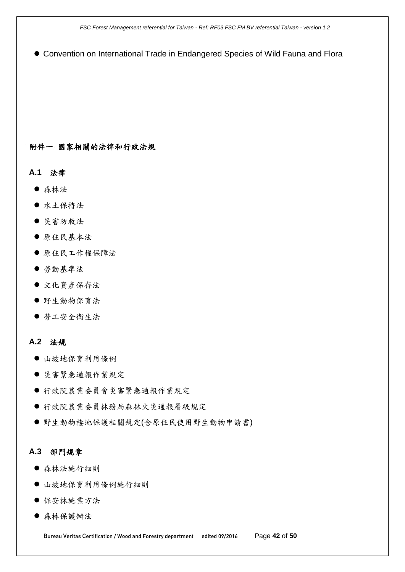*FSC Forest Management referential for Taiwan - Ref: RF03 FSC FM BV referential Taiwan - version 1.2*

Convention on International Trade in Endangered Species of Wild Fauna and Flora

#### 附件一 國家相關的法律和行政法規

**A.1** 法律

- 森林法
- 水土保持法
- 災害防救法
- 原住民基本法
- 原住民工作權保障法
- 勞動基準法
- 文化資產保存法
- 野生動物保育法
- 勞工安全衛生法

#### **A.2** 法規

- 山坡地保育利用條例
- 災害緊急通報作業規定
- 行政院農業委員會災害緊急通報作業規定
- 行政院農業委員林務局森林火災通報層級規定
- 野生動物棲地保護相關規定(含原住民使用野生動物申請書)

#### **A.3** 部門規章

- 森林法施行細則
- 山坡地保育利用條例施行細則
- 保安林施業方法
- 森林保護辦法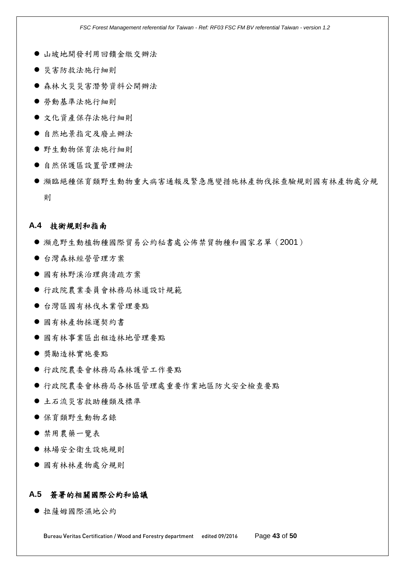- 山坡地開發利用回饋金繳交辦法
- 災害防救法施行細則
- 森林火災災害潛勢資料公開辦法
- 勞動基準法施行細則
- 文化資產保存法施行細則
- 自然地景指定及廢止辦法
- 野生動物保育法施行細則
- 自然保護區設置管理辦法
- 瀕臨絕種保育類野生動物重大病害通報及緊急應變措施林產物伐採查驗規則國有林產物處分規 則

#### **A.4** 技術規則和指南

- 瀕危野生動植物種國際貿易公約秘書處公佈禁貿物種和國家名單(2001)
- 台灣森林經營管理方案
- 國有林野溪治理與清疏方案
- 行政院農業委員會林務局林道設計規範
- 台灣區國有林伐木業管理要點
- 國有林產物採運契約書
- 國有林事業區出租造林地管理要點
- 獎勵造林實施要點
- 行政院農委會林務局森林護管工作要點
- 行政院農委會林務局各林區管理處重要作業地區防火安全檢查要點
- 土石流災害救助種類及標準
- 保育類野生動物名錄
- 禁用農藥一覽表
- 林場安全衛生設施規則
- 國有林林產物處分規則

#### **A.5** 簽署的相關國際公約和協議

拉薩姆國際濕地公約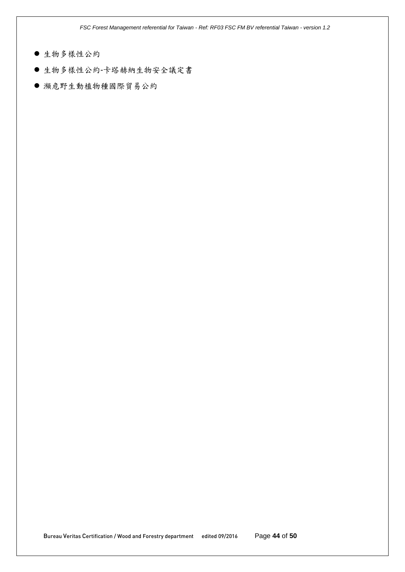*FSC Forest Management referential for Taiwan - Ref: RF03 FSC FM BV referential Taiwan - version 1.2*

- 生物多樣性公約
- 生物多樣性公約-卡塔赫納生物安全議定書
- 瀕危野生動植物種國際貿易公約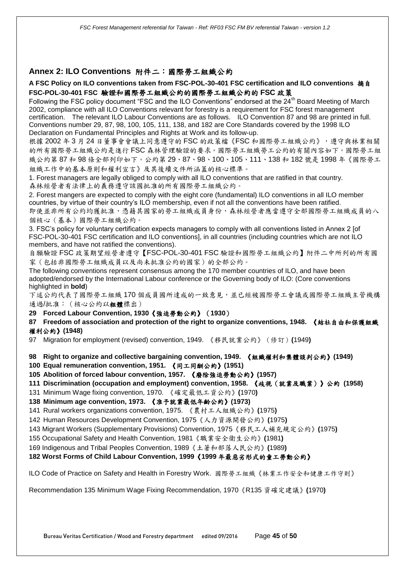#### <span id="page-44-0"></span>**Annex 2: ILO Conventions** 附件二:國際勞工組織公約

#### **A FSC Policy on ILO conventions taken from FSC-POL-30-401 FSC certification and ILO conventions** 摘自 **FSC-POL-30-401 FSC** 驗證和國際勞工組織公約的國際勞工組織公約的 **FSC** 政策

Following the FSC policy document "FSC and the ILO Conventions" endorsed at the 24<sup>th</sup> Board Meeting of March 2002, compliance with all ILO Conventions relevant for forestry is a requirement for FSC forest management certification. The relevant ILO Labour Conventions are as follows. ILO Convention 87 and 98 are printed in full. Conventions number 29, 87, 98, 100, 105, 111, 138, and 182 are Core Standards covered by the 1998 ILO Declaration on Fundamental Principles and Rights at Work and its follow-up.

根據 2002 年 3 月 24 日董事會會議上同意遵守的 FSC 的政策檔《FSC 和國際勞工組織公約》,遵守與林業相關 的所有國際勞工組織公約是進行 FSC 森林管理驗證的要求。國際勞工組織勞工公約的有關內容如下。國際勞工組 織公約第 87 和 98 條全部列印如下。公約第 29、87、98、100、105、111、138 和 182 號是 1998 年《國際勞工 組織工作中的基本原則和權利宣言》及其後續文件所涵蓋的核心標準。

1. Forest managers are legally obliged to comply with all ILO conventions that are ratified in that country. 森林經營者有法律上的義務遵守該國批准的所有國際勞工組織公約。

2. Forest mangers are expected to comply with the eight core (fundamental) ILO conventions in all ILO member countries, by virtue of their country's ILO membership, even if not all the conventions have been ratified. 即使並非所有公約均獲批准,憑藉其國家的勞工組織成員身份,森林經營者應當遵守全部國際勞工組織成員的八 個核心(基本)國際勞工組織公約。

3. FSC's policy for voluntary certification expects managers to comply with all conventions listed in Annex 2 [of FSC-POL-30-401 FSC certification and ILO conventions], in all countries (including countries which are not ILO members, and have not ratified the conventions).

自願驗證 FSC 政策期望經營者遵守【FSC-POL-30-401 FSC 驗證和國際勞工組織公約】附件二中所列的所有國 家(包括非國際勞工組織成員以及尚未批准公約的國家)的全部公約。

The following conventions represent consensus among the 170 member countries of ILO, and have been adopted/endorsed by the International Labour conference or the Governing body of ILO: (Core conventions highlighted in **bold**)

下述公約代表了國際勞工組織 170 個成員國所達成的一致意見,並已經被國際勞工會議或國際勞工組織主管機構 通過/批准:(核心公約以粗體標出)

**29 Forced Labour Convention, 1930**《強迫勞動公約》(**1930**)

**87 Freedom of association and protection of the right to organize conventions, 1948.** 《結社自由和保護組織 權利公約》**(1948)**

97 Migration for employment (revised) convention, 1949. 《移民就業公約》(修訂)**(**1949**)**

**98 Right to organize and collective bargaining convention, 1949.** 《組織權利和集體談判公約》**(1949)**

- **100 Equal remuneration convention, 1951.** 《同工同酬公約》**(1951)**
- **105 Abolition of forced labour convention, 1957.** 《廢除強迫勞動公約》**(1957)**
- **111 Discrimination (occupation and employment) convention, 1958.** 《歧視(就業及職業)》公約 **(1958)**
- 131 Minimum Wage fixing convention, 1970. 《確定最低工資公約》**(**1970**)**

**138 Minimum age convention, 1973.** 《准予就業最低年齡公約》**(1973)**

- 141 Rural workers organizations convention, 1975. 《農村工人組織公約》**(**1975**)**
- 142 Human Resources Development Convention, 1975《人力資源開發公約》**(**1975**)**
- 143 Migrant Workers (Supplementary Provisions) Convention, 1975《移民工人補充規定公約》**(**1975**)**
- 155 Occupational Safety and Health Convention, 1981《職業安全衛生公約》**(**1981**)**
- 169 Indigenous and Tribal Peoples Convention, 1989《土著和部落人民公約》**(**1989**)**

#### **182 Worst Forms of Child Labour Convention, 1999**《**1999** 年最惡劣形式的童工勞動公約》

ILO Code of Practice on Safety and Health in Forestry Work. 國際勞工組織《林業工作安全和健康工作守則》

Recommendation 135 Minimum Wage Fixing Recommendation, 1970《R135 資確定建議》**(**1970**)**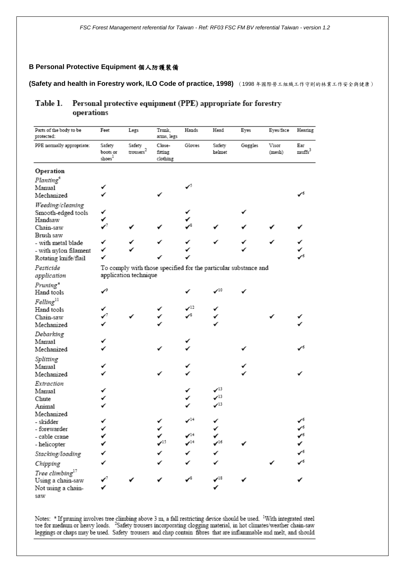#### **B Personal Protective Equipment** 個人防護裝備

**(Safety and health in Forestry work, ILO Code of practice, 1998)** (1998 年國際勞工組織工作守則的林業工作安全與健康)

#### Table 1. Personal protective equipment (PPE) appropriate for forestry operations

| Parts of the body to be<br>protected: | Feet                        | Legs                      | Trunk,<br>arms, legs                                            | Hands                     | Head                           | Eyes    | Eyes/face       | Hearing                   |
|---------------------------------------|-----------------------------|---------------------------|-----------------------------------------------------------------|---------------------------|--------------------------------|---------|-----------------|---------------------------|
| PPE normally appropriate:             | Safety<br>boots or<br>shoes | Safety<br>${\rm~cross}^2$ | Close-<br>fitting<br>clothing                                   | Gloves                    | Safety<br>helmet               | Goggles | Visor<br>(mesh) | Ear<br>muffs <sup>3</sup> |
| Operation                             |                             |                           |                                                                 |                           |                                |         |                 |                           |
| Planting <sup>4</sup><br>Manual       |                             |                           |                                                                 | ✓                         |                                |         |                 |                           |
| Mechanized                            |                             |                           |                                                                 |                           |                                |         |                 | $\checkmark$              |
| Weeding/cleaning                      |                             |                           |                                                                 |                           |                                |         |                 |                           |
| Smooth-edged tools<br>Handsaw         |                             |                           |                                                                 |                           |                                |         |                 |                           |
| Chain-saw<br>Brush saw                | ✓                           |                           | ✓                                                               |                           |                                |         |                 |                           |
| - with metal blade                    | ✓                           |                           | ✓                                                               |                           |                                |         |                 |                           |
| - with nylon filament                 | ✓                           |                           |                                                                 |                           |                                |         |                 |                           |
| Rotating knife/flail                  | ✓                           |                           |                                                                 |                           |                                |         |                 | гб                        |
| Pesticide<br>application              |                             | application technique     | To comply with those specified for the particular substance and |                           |                                |         |                 |                           |
| Pruning*                              |                             |                           |                                                                 |                           |                                |         |                 |                           |
| Hand tools                            | ✓                           |                           |                                                                 |                           | $\boldsymbol{\checkmark}^{10}$ |         |                 |                           |
| $Felling^{11}$                        |                             |                           |                                                                 |                           |                                |         |                 |                           |
| Hand tools                            |                             |                           |                                                                 | $\mathcal{I}^{12}$<br>✓Տ  |                                |         |                 |                           |
| Chain-saw<br>Mechanized               |                             |                           | ✓                                                               |                           | ✓                              |         |                 |                           |
|                                       |                             |                           |                                                                 |                           |                                |         |                 |                           |
| Debarking<br>Manual                   |                             |                           |                                                                 |                           |                                |         |                 |                           |
| Mechanized                            |                             |                           |                                                                 |                           |                                |         |                 | -б                        |
| Splitting                             |                             |                           |                                                                 |                           |                                |         |                 |                           |
| Manual                                |                             |                           |                                                                 |                           |                                |         |                 |                           |
| Mechanized                            |                             |                           |                                                                 |                           |                                |         |                 |                           |
| Extraction                            |                             |                           |                                                                 |                           |                                |         |                 |                           |
| Manual                                |                             |                           |                                                                 |                           | $\checkmark$ <sup>13</sup>     |         |                 |                           |
| Chute                                 |                             |                           |                                                                 |                           | $\boldsymbol{\checkmark}^{13}$ |         |                 |                           |
| Animal                                |                             |                           |                                                                 |                           | $\boldsymbol{\checkmark}^{13}$ |         |                 |                           |
| Mechanized                            |                             |                           |                                                                 |                           |                                |         |                 |                           |
| - skidder                             |                             |                           |                                                                 | $\mathcal{I}^{\text{14}}$ | ✓                              |         |                 | $\checkmark$              |
| - forewarder                          | ✓                           |                           |                                                                 | $\mathcal{I}^{14}$        | ✓<br>✓                         |         |                 | $\checkmark$              |
| - cable crane                         |                             |                           | -15                                                             | $\cdot$ <sup>14</sup>     | $-16$                          |         |                 |                           |
| - helicopter                          |                             |                           |                                                                 |                           |                                |         |                 |                           |
| Stacking/loading                      |                             |                           |                                                                 |                           |                                |         |                 |                           |
| Chipping                              |                             |                           |                                                                 |                           |                                |         |                 |                           |
| Tree climbing <sup>17</sup>           |                             |                           |                                                                 | ø8                        |                                |         |                 |                           |
| Using a chain-saw                     |                             |                           |                                                                 |                           | $\boldsymbol{\checkmark}$      |         |                 |                           |
| Not using a chain-<br>saw             |                             |                           |                                                                 |                           |                                |         |                 |                           |

Notes: \* If pruning involves tree climbing above 3 m, a fall restricting device should be used. <sup>1</sup>With integrated steel toe for medium or heavy loads. <sup>2</sup>Safety trousers incorporating clogging material, in hot climates/we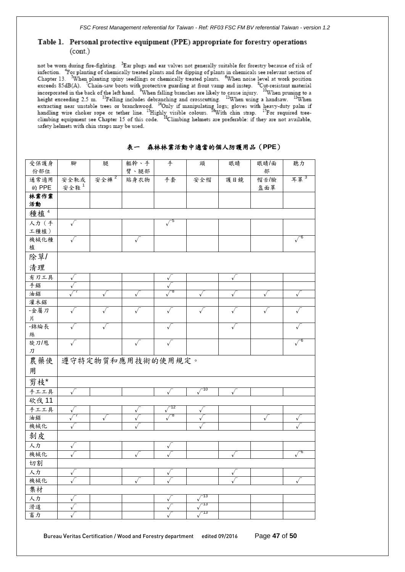#### Table 1. Personal protective equipment (PPE) appropriate for forestry operations  $(cont.)$

not be worn during fire-fighting. <sup>3</sup>Ear plugs and ear valves not generally suitable for forestry because of risk of infection. <sup>4</sup>For planting of chemically treated plants and for dipping of plants in chemicals see relevant section of Chapter 13. <sup>5</sup>When planting spiny seedlings or chemically treated plants. <sup>6</sup>When noise level at work exceeds 85dB(A). <sup>7</sup>Chain-saw boots with protective guarding at front vamp and instep. <sup>8</sup>Cut-resistant material exceeds  $\delta$ 3dD(A). Chain-saw boots with protective guarding at front vamp and instep. Cut-resistant material<br>incorporated in the back of the left hand. <sup>9</sup>When falling branches are likely to cause injury. <sup>10</sup>When prunin safety helmets with chin straps may be used.

| 受保護身                     | 腳                | 腿    | 軀幹、手                       | 手            | 頭            | 眼睛           | 眼睛/面       | 聽力          |
|--------------------------|------------------|------|----------------------------|--------------|--------------|--------------|------------|-------------|
| 份部位                      |                  |      | 臂、腿部                       |              |              |              | 部          |             |
| 通常適用                     | 安全靴或             | 安全褲2 | 貼身衣物                       | 手套           | 安全帽          | 護目鏡          | 帽舌/臉       | 耳罩 $3$      |
| 的 PPE                    | 安全鞋 <sup>1</sup> |      |                            |              |              |              | 盔面罩        |             |
| 林業作業                     |                  |      |                            |              |              |              |            |             |
| 活動                       |                  |      |                            |              |              |              |            |             |
| 種植 <sup>4</sup>          |                  |      |                            |              |              |              |            |             |
| 人力 (手                    | $\sqrt{ }$       |      |                            | $\sqrt{5}$   |              |              |            |             |
| 工種植)                     |                  |      |                            |              |              |              |            |             |
| 機械化種                     | √                |      | $\sqrt{ }$                 |              |              |              |            |             |
| 植                        |                  |      |                            |              |              |              |            |             |
| 除草/                      |                  |      |                            |              |              |              |            |             |
| 清理                       |                  |      |                            |              |              |              |            |             |
| 有刃工具                     | $\sqrt{}$        |      |                            | $\sqrt{}$    |              | $\sqrt{ }$   |            |             |
| 手鋸                       |                  |      |                            |              |              |              |            |             |
| 油鋸                       |                  |      |                            |              |              |              | $\sqrt{ }$ |             |
| 灌木鋸                      |                  |      |                            |              |              |              |            |             |
| -金屬刀                     | √                |      |                            |              |              |              | √          |             |
| 片                        |                  |      |                            |              |              |              |            |             |
| -錦綸長                     | √                | √    |                            | √            |              | √            |            |             |
| 絲                        |                  |      |                            |              |              |              |            |             |
| 旋刀/甩                     | √                |      | $\sqrt{}$                  | $\sqrt{ }$   |              |              |            |             |
| $\mathcal I\!\mathcal I$ |                  |      |                            |              |              |              |            |             |
| 農藥使                      |                  |      | 遵守特定物質和應用技術的使用規定。          |              |              |              |            |             |
| 用                        |                  |      |                            |              |              |              |            |             |
| 剪枝*                      |                  |      |                            |              |              |              |            |             |
| 手工工具                     | $\checkmark$     |      |                            |              | $\sqrt{10}$  |              |            |             |
| 砍伐 11                    |                  |      |                            |              |              |              |            |             |
| 手工工具                     |                  |      |                            | 12           |              |              |            |             |
| 油鋸                       |                  |      | $\checkmark$<br>$\sqrt{ }$ | -8           | $\mathbf v$  |              | $\sqrt{ }$ |             |
| 機械化                      |                  |      |                            |              | $\mathbf{v}$ |              |            | $\sqrt{}$   |
| 剝皮                       |                  |      |                            |              |              |              |            |             |
| 人力                       | $\checkmark$     |      |                            | $\checkmark$ |              |              |            |             |
| 機械化                      |                  |      | $\sqrt{ }$                 |              |              | $\sqrt{ }$   |            | $\sqrt{-6}$ |
| 切割                       | $\sqrt{ }$       |      |                            |              |              |              |            |             |
| 人力                       | $\checkmark$     |      |                            |              |              |              |            |             |
| 機械化                      |                  |      | $\sqrt{ }$                 | v            |              | $\checkmark$ |            | $\sqrt{ }$  |
| 集材                       |                  |      |                            |              |              |              |            |             |
| 人力                       | V                |      |                            | V            | -13          |              |            |             |
| 滑道                       | $\checkmark$     |      |                            |              | -13          |              |            |             |
| 畜力                       | $\checkmark$     |      |                            |              | -13          |              |            |             |
|                          |                  |      |                            | ٧            |              |              |            |             |

表一森林林業活動中適當的個人防護用品(**PPE**)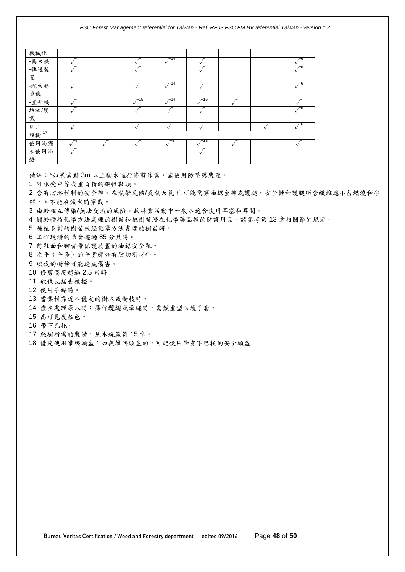| 機械化              |  |      |     |      |  |  |
|------------------|--|------|-----|------|--|--|
| -集木機             |  |      | 14  |      |  |  |
| -傳送裝             |  |      |     |      |  |  |
| 置                |  |      |     |      |  |  |
| -纜索起             |  |      | 14  |      |  |  |
| 重機               |  |      |     |      |  |  |
| -直升機             |  | ∕−15 | -14 | ∕−16 |  |  |
| 堆放/裝             |  |      |     |      |  |  |
| 載                |  |      |     |      |  |  |
| 削片               |  |      |     |      |  |  |
| 爬樹 <sup>17</sup> |  |      |     |      |  |  |
| 使用油鋸             |  |      |     | -18  |  |  |
| 未使用油             |  |      |     |      |  |  |
| 鋸                |  |      |     |      |  |  |

備註:\*如果需對 3m 以上樹木進行修剪作業,需使用防墜落裝置。

1 可承受中等或重負荷的鋼性鞋頭。

2 含有防滲材料的安全褲。在熱帶氣候/炎熱天氣下,可能需穿油鋸套褲或護腿。安全褲和護腿所含纖維應不易燃燒和溶 解,且不能在滅火時穿戴。

3 由於相互傳染/無法交流的風險,故林業活動中一般不適合使用耳塞和耳閥。

4 關於種植化學方法處理的樹苗和把樹苗浸在化學藥品裡的防護用品,請參考第13章相關節的規定。

5 種植多刺的樹苗或經化學方法處理的樹苗時。

6 工作現場的噪音超過 85 分貝時。

7 前鞋面和腳背帶保護裝置的油鋸安全靴。

8 左手(手套)的手背部分有防切割材料。

9 砍伐的樹幹可能造成傷害。

10 修剪高度超過 2.5 米時。

11 砍伐包括去枝椏。

12 使用手鋸時。

13 當集材靠近不穩定的樹木或樹枝時。

14 僅在處理原木時;操作纜繩或牽繩時,需戴重型防護手套。

15 高可見度顏色。

16 帶下巴托。

17 爬樹所需的裝備,見本規範第15章。

18 優先使用攀爬頭盔:如無攀爬頭盔的,可能使用帶有下巴托的安全頭盔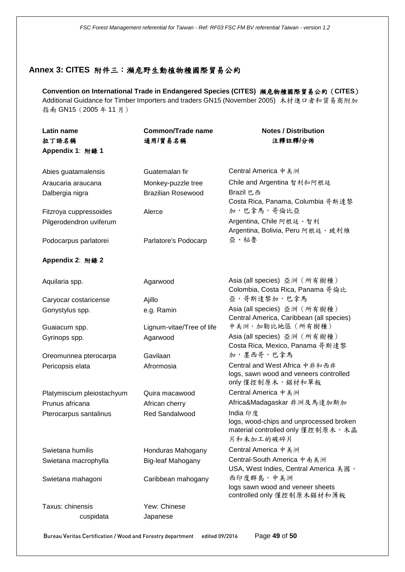#### <span id="page-48-0"></span>**Annex 3: CITES** 附件三:瀕危野生動植物種國際貿易公約

**Convention on International Trade in Endangered Species (CITES)** 瀕危物種國際貿易公約(**CITES**) Additional Guidance for Timber Importers and traders GN15 (November 2005) 木材進口者和貿易商附加 指南 GN15(2005 年 11 月)

| Latin name                 | <b>Common/Trade name</b>  | <b>Notes / Distribution</b>                                                   |
|----------------------------|---------------------------|-------------------------------------------------------------------------------|
| 拉丁語名稱                      | 通用/貿易名稱                   | 注釋註釋/分佈                                                                       |
| Appendix 1: 附錄 1           |                           |                                                                               |
|                            |                           |                                                                               |
| Abies guatamalensis        | Guatemalan fir            | Central America 中美洲                                                           |
| Araucaria araucana         | Monkey-puzzle tree        | Chile and Argentina 智利和阿根廷                                                    |
| Dalbergia nigra            | <b>Brazilian Rosewood</b> | Brazil 巴西                                                                     |
|                            |                           | Costa Rica, Panama, Columbia 哥斯達黎                                             |
| Fitzroya cuppressoides     | Alerce                    | 加,巴拿馬,哥倫比亞                                                                    |
| Pilgerodendron uviferum    |                           | Argentina, Chile 阿根廷、智利                                                       |
|                            |                           | Argentina, Bolivia, Peru 阿根廷、玻利維<br>亞、秘魯                                      |
| Podocarpus parlatorei      | Parlatore's Podocarp      |                                                                               |
| Appendix 2: 附錄 2           |                           |                                                                               |
|                            |                           |                                                                               |
| Aquilaria spp.             | Agarwood                  | Asia (all species) 亞洲 (所有樹種)                                                  |
|                            |                           | Colombia, Costa Rica, Panama 哥倫比                                              |
| Caryocar costaricense      | Ajillo                    | 亞,哥斯達黎加,巴拿馬                                                                   |
| Gonystylus spp.            | e.g. Ramin                | Asia (all species) 亞洲 (所有樹種)                                                  |
|                            |                           | Central America, Caribbean (all species)                                      |
| Guaiacum spp.              | Lignum-vitae/Tree of life | 中美洲, 加勒比地區 (所有樹種)                                                             |
| Gyrinops spp.              | Agarwood                  | Asia (all species) 亞洲 (所有樹種)<br>Costa Rica, Mexico, Panama 哥斯達黎               |
| Oreomunnea pterocarpa      | Gavilaan                  | 加,墨西哥,巴拿馬                                                                     |
| Pericopsis elata           | Afrormosia                | Central and West Africa 中非和西非                                                 |
|                            |                           | logs, sawn wood and veneers controlled                                        |
|                            |                           | only 僅控制原木, 鋸材和單板                                                             |
| Platymiscium pleiostachyum | Quira macawood            | Central America 中美洲                                                           |
| Prunus africana            | African cherry            | Africa&Madagaskar 非洲及馬達加斯加                                                    |
| Pterocarpus santalinus     | Red Sandalwood            | India 印度                                                                      |
|                            |                           | logs, wood-chips and unprocessed broken<br>material controlled only 僅控制原木, 木晶 |
|                            |                           | 片和未加工的破碎片                                                                     |
| Swietana humilis           | Honduras Mahogany         | Central America 中美洲                                                           |
| Swietana macrophylla       | Big-leaf Mahogany         | Central-South America 中南美洲                                                    |
|                            |                           | USA, West Indies, Central America 美國,                                         |
| Swietana mahagoni          | Caribbean mahogany        | 西印度群島,中美洲                                                                     |
|                            |                           | logs sawn wood and veneer sheets                                              |
|                            |                           | controlled only 僅控制原木鋸材和薄板                                                    |
| Taxus: chinensis           | Yew: Chinese              |                                                                               |
| cuspidata                  | Japanese                  |                                                                               |